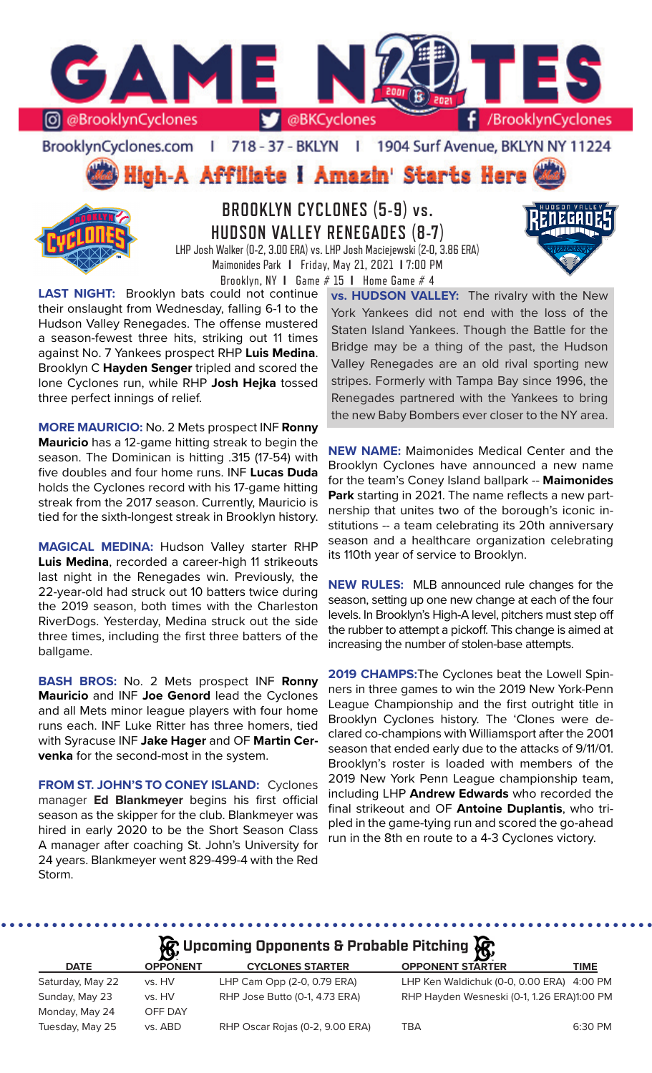

BrooklynCyclones.com | 718 - 37 - BKLYN | 1904 Surf Avenue, BKLYN NY 11224



**BROOKLYN CYCLONES (5-9) vs. HUDSON VALLEY RENEGADES (8-7)** LHP Josh Walker (0-2, 3.00 ERA) vs. LHP Josh Maciejewski (2-0, 3.86 ERA) Maimonides Park **I** Friday, May 21, 2021 **I** 7:00 PM

Brooklyn, NY **I** Game # 15 **I** Home Game # 4

**LAST NIGHT:** Brooklyn bats could not continue their onslaught from Wednesday, falling 6-1 to the Hudson Valley Renegades. The offense mustered a season-fewest three hits, striking out 11 times against No. 7 Yankees prospect RHP **Luis Medina**. Brooklyn C **Hayden Senger** tripled and scored the lone Cyclones run, while RHP **Josh Hejka** tossed three perfect innings of relief.

**MORE MAURICIO:** No. 2 Mets prospect INF **Ronny Mauricio** has a 12-game hitting streak to begin the season. The Dominican is hitting .315 (17-54) with five doubles and four home runs. INF **Lucas Duda** holds the Cyclones record with his 17-game hitting streak from the 2017 season. Currently, Mauricio is tied for the sixth-longest streak in Brooklyn history.

**MAGICAL MEDINA:** Hudson Valley starter RHP **Luis Medina**, recorded a career-high 11 strikeouts last night in the Renegades win. Previously, the 22-year-old had struck out 10 batters twice during the 2019 season, both times with the Charleston RiverDogs. Yesterday, Medina struck out the side three times, including the first three batters of the ballgame.

**BASH BROS:** No. 2 Mets prospect INF **Ronny Mauricio** and INF **Joe Genord** lead the Cyclones and all Mets minor league players with four home runs each. INF Luke Ritter has three homers, tied with Syracuse INF **Jake Hager** and OF **Martin Cervenka** for the second-most in the system.

**FROM ST. JOHN'S TO CONEY ISLAND:** Cyclones manager **Ed Blankmeyer** begins his first official season as the skipper for the club. Blankmeyer was hired in early 2020 to be the Short Season Class A manager after coaching St. John's University for 24 years. Blankmeyer went 829-499-4 with the Red Storm.

**vs. HUDSON VALLEY:** The rivalry with the New York Yankees did not end with the loss of the Staten Island Yankees. Though the Battle for the Bridge may be a thing of the past, the Hudson Valley Renegades are an old rival sporting new stripes. Formerly with Tampa Bay since 1996, the Renegades partnered with the Yankees to bring the new Baby Bombers ever closer to the NY area.

**NEW NAME:** Maimonides Medical Center and the Brooklyn Cyclones have announced a new name for the team's Coney Island ballpark -- **Maimonides Park** starting in 2021. The name reflects a new partnership that unites two of the borough's iconic institutions -- a team celebrating its 20th anniversary season and a healthcare organization celebrating its 110th year of service to Brooklyn.

**NEW RULES:** MLB announced rule changes for the season, setting up one new change at each of the four levels. In Brooklyn's High-A level, pitchers must step off the rubber to attempt a pickoff. This change is aimed at increasing the number of stolen-base attempts.

**2019 CHAMPS:**The Cyclones beat the Lowell Spinners in three games to win the 2019 New York-Penn League Championship and the first outright title in Brooklyn Cyclones history. The 'Clones were declared co-champions with Williamsport after the 2001 season that ended early due to the attacks of 9/11/01. Brooklyn's roster is loaded with members of the 2019 New York Penn League championship team, including LHP **Andrew Edwards** who recorded the final strikeout and OF **Antoine Duplantis**, who tripled in the game-tying run and scored the go-ahead run in the 8th en route to a 4-3 Cyclones victory.

# **Upcoming Opponents & Probable Pitching**

| $\mathbf{Q}$<br>$\mathbf{Q}$ |                 |                                 |                                            |         |  |  |  |  |
|------------------------------|-----------------|---------------------------------|--------------------------------------------|---------|--|--|--|--|
| <b>DATE</b>                  | <b>OPPONENT</b> | <b>CYCLONES STARTER</b>         | <b>OPPONENT STARTER</b>                    | TIME    |  |  |  |  |
| Saturday, May 22             | vs. HV          | LHP Cam Opp (2-0, 0.79 ERA)     | LHP Ken Waldichuk (0-0, 0.00 ERA) 4:00 PM  |         |  |  |  |  |
| Sunday, May 23               | vs. HV          | RHP Jose Butto (0-1, 4.73 ERA)  | RHP Hayden Wesneski (0-1, 1.26 ERA)1:00 PM |         |  |  |  |  |
| Monday, May 24               | OFF DAY         |                                 |                                            |         |  |  |  |  |
| Tuesday, May 25              | vs. ABD         | RHP Oscar Rojas (0-2, 9.00 ERA) | TBA                                        | 6:30 PM |  |  |  |  |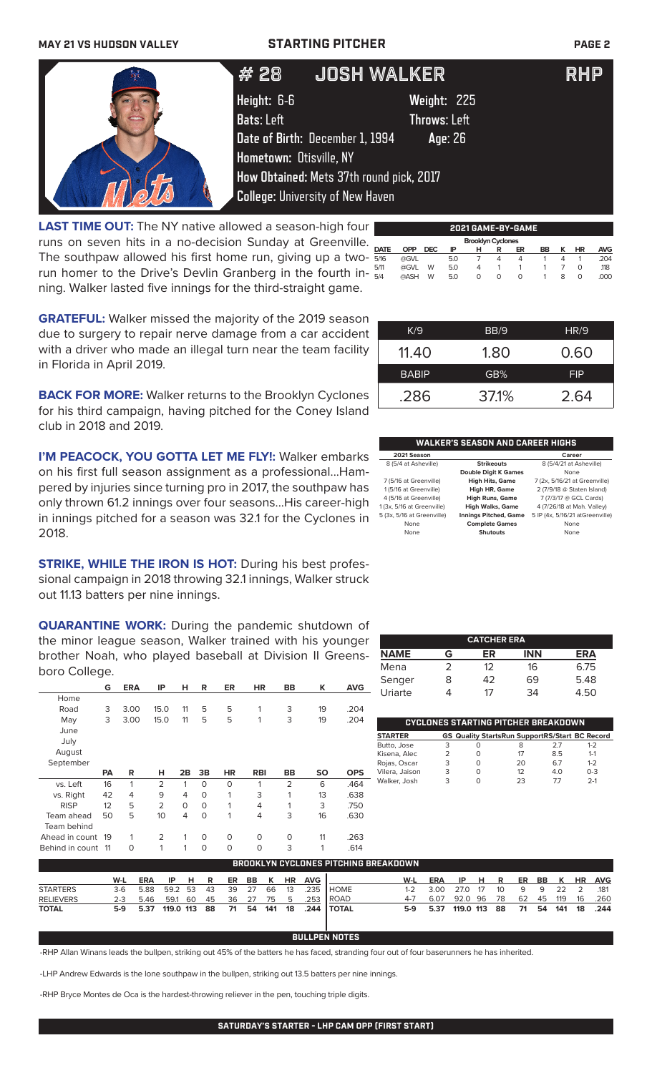### **MAY 21 VS HUDSON VALLEY STARTING PITCHER PAGE 2**

| # 28                    | <b>JOSH WALKER</b>                         | <b>RHP</b> |
|-------------------------|--------------------------------------------|------------|
| Height: 6-6             | Weight: 225                                |            |
| <b>Bats: Left</b>       | <b>Throws: Left</b>                        |            |
|                         | Date of Birth: December 1, 1994<br>Age: 26 |            |
| Hometown: Otisville, NY |                                            |            |
|                         | How Obtained: Mets 37th round pick, 2017   |            |
|                         | <b>College: University of New Haven</b>    |            |

**LAST TIME OUT:** The NY native allowed a season-high four runs on seven hits in a no-decision Sunday at Greenville. The southpaw allowed his first home run, giving up a tworun homer to the Drive's Devlin Granberg in the fourth inning. Walker lasted five innings for the third-straight game.

| 2021 GAME-BY-GAME |            |            |     |                          |   |    |    |   |    |            |
|-------------------|------------|------------|-----|--------------------------|---|----|----|---|----|------------|
|                   |            |            |     | <b>Brooklyn Cyclones</b> |   |    |    |   |    |            |
| <b>DATE</b>       | <b>OPP</b> | <b>DEC</b> | ΙP  | н                        | R | ER | BB | ĸ | ΗR | <b>AVG</b> |
| 5/16              | @GVL       |            | 5.0 |                          | Δ | 4  |    | Δ |    | .204       |
| 5/11              | @GVL       | W          | 5.0 | 4                        |   |    |    |   | O  | .118       |
| 5/4               | @ASH       | W          | 5.0 | O                        | Ω | O  |    | 8 | O  | .000       |
|                   |            |            |     |                          |   |    |    |   |    |            |

**GRATEFUL:** Walker missed the majority of the 2019 season due to surgery to repair nerve damage from a car accident with a driver who made an illegal turn near the team facility in Florida in April 2019.

**BACK FOR MORE:** Walker returns to the Brooklyn Cyclones for his third campaign, having pitched for the Coney Island club in 2018 and 2019.

**I'M PEACOCK, YOU GOTTA LET ME FLY!: Walker embarks** on his first full season assignment as a professional...Hampered by injuries since turning pro in 2017, the southpaw has only thrown 61.2 innings over four seasons...His career-high in innings pitched for a season was 32.1 for the Cyclones in 2018.

**STRIKE, WHILE THE IRON IS HOT:** During his best professional campaign in 2018 throwing 32.1 innings, Walker struck out 11.13 batters per nine innings.

**QUARANTINE WORK:** During the pandemic shutdown of the minor league season, Walker trained with his younger brother Noah, who played baseball at Division II Greensboro College.

|                | G         | <b>ERA</b> | ΙP             | н  | R  | ER        | <b>HR</b>  | BB             | Κ         | <b>AVG</b> |
|----------------|-----------|------------|----------------|----|----|-----------|------------|----------------|-----------|------------|
| Home           |           |            |                |    |    |           |            |                |           |            |
| Road           | 3         | 3.00       | 15.0           | 11 | 5  | 5         | 1          | 3              | 19        | .204       |
| May            | 3         | 3.00       | 15.0           | 11 | 5  | 5         | 1          | 3              | 19        | .204       |
| June           |           |            |                |    |    |           |            |                |           |            |
| July           |           |            |                |    |    |           |            |                |           |            |
| August         |           |            |                |    |    |           |            |                |           |            |
| September      |           |            |                |    |    |           |            |                |           |            |
|                | <b>PA</b> | R          | н              | 2B | 3B | <b>HR</b> | <b>RBI</b> | BB             | <b>SO</b> | <b>OPS</b> |
| vs. Left       | 16        | 1          | $\overline{2}$ | 1  | O  | $\circ$   | 1          | $\overline{2}$ | 6         | .464       |
| vs. Right      | 42        | 4          | 9              | 4  | 0  | 1         | 3          | 1              | 13        | .638       |
| <b>RISP</b>    | 12        | 5          | $\overline{2}$ | O  | O  | 1         | 4          | 1              | 3         | .750       |
|                |           |            |                |    |    |           |            |                |           |            |
| Team ahead     | 50        | 5          | 10             | 4  | 0  | 1         | 4          | 3              | 16        | .630       |
| Team behind    |           |            |                |    |    |           |            |                |           |            |
| Ahead in count | 19        | 1          | $\overline{2}$ | 1  | O  | $\Omega$  | $\Omega$   | $\Omega$       | 11        | .263       |

| K/9          | BB/9  | HR/9       |
|--------------|-------|------------|
| 11.40        | 1.80  | 0.60       |
| <b>BABIP</b> | GB%   | <b>FIP</b> |
| .286         | 37.1% | 2.64       |

### **WALKER'S SEASON AND CAREER HIGHS**

| 2021 Season                |                              | Career                          |
|----------------------------|------------------------------|---------------------------------|
| 8 (5/4 at Asheville)       | <b>Strikeouts</b>            | 8 (5/4/21 at Asheville)         |
|                            | <b>Double Digit K Games</b>  | None                            |
| 7 (5/16 at Greenville)     | <b>High Hits, Game</b>       | 7 (2x, 5/16/21 at Greenville)   |
| 1 (5/16 at Greenville)     | <b>High HR, Game</b>         | 2 (7/9/18 @ Staten Island)      |
| 4 (5/16 at Greenville)     | <b>High Runs, Game</b>       | 7 (7/3/17 @ GCL Cards)          |
| 1 (3x, 5/16 at Greenville) | <b>High Walks, Game</b>      | 4 (7/26/18 at Mah. Valley)      |
| 5 (3x, 5/16 at Greenville) | <b>Innings Pitched, Game</b> | 5 IP (4x, 5/16/21 atGreenville) |
| None                       | <b>Complete Games</b>        | None                            |
| None                       | Shutouts                     | None                            |

| <b>CATCHER ERA</b> |   |    |            |      |  |  |  |  |
|--------------------|---|----|------------|------|--|--|--|--|
| <b>NAME</b>        | G | ER | <b>INN</b> | ERA  |  |  |  |  |
| Mena               |   | 12 | 16         | 6.75 |  |  |  |  |
| Senger             | 8 | 42 | 69         | 5.48 |  |  |  |  |
| Uriarte            |   | 17 | 34         | 4.50 |  |  |  |  |

|                |   |   | CYCLONES STARTING PITCHER BREAKDOWN                   |    |         |
|----------------|---|---|-------------------------------------------------------|----|---------|
| <b>STARTER</b> |   |   | <b>GS Quality StartsRun SupportRS/Start BC Record</b> |    |         |
| Butto, Jose    | 3 | Ω | 8                                                     | 27 | $1 - 2$ |
| Kisena, Alec   |   | O | 17                                                    | 85 | $1 - 1$ |
| Rojas, Oscar   | 3 | O | 20                                                    | 67 | $1 - 2$ |
| Vilera, Jaison | 3 | O | 12                                                    | 40 | $0 - 3$ |
| Walker, Josh   | 3 | Ω | 23                                                    | 77 | $2-1$   |

|                 | <b>BROOKLYN CYCLONES PITCHING BREAKDOWN</b> |            |           |    |     |    |       |     |           |            |               |         |            |           |      |    |     |    |     |           |            |
|-----------------|---------------------------------------------|------------|-----------|----|-----|----|-------|-----|-----------|------------|---------------|---------|------------|-----------|------|----|-----|----|-----|-----------|------------|
|                 | W-L                                         | <b>ERA</b> | -IP       | -н | R   |    | ER BB | K   | <b>HR</b> | <b>AVG</b> |               | W-L     | <b>ERA</b> | IP        | н.   | R  | ER. | BB | K   | <b>HR</b> | <b>AVG</b> |
| <b>STARTERS</b> | 3-6                                         | 5.88       | 59.2 53   |    | 43  | 39 | 27    | 66  | 13        |            | $.235$ HOME   | 1-2     | 3.00       | 27 O      | - 17 | 10 | q   | 9  | フフ  |           | .181       |
| RELIEVERS       | $2 - 3$                                     | 5.46       | 59.1 60   |    | -45 | 36 | -27   | 75  | 5         | 253        | <b>I ROAD</b> | $4 - 7$ | 6.07       | 92.0 96   |      | 78 | 62  | 45 | 119 | 16        | .260       |
| <b>TOTAL</b>    | 5-9                                         | 5.37       | 119.0 113 |    | 88  | 71 | 54    | 141 | 18        | 244        | I TOTAL       | 5-9     | 5.37       | 119.0 113 |      | 88 | 71  | 54 | 141 | 18        | .244       |

### **BULLPEN NOTES**

-RHP Allan Winans leads the bullpen, striking out 45% of the batters he has faced, stranding four out of four baserunners he has inherited.

-LHP Andrew Edwards is the lone southpaw in the bullpen, striking out 13.5 batters per nine innings.

-RHP Bryce Montes de Oca is the hardest-throwing reliever in the pen, touching triple digits.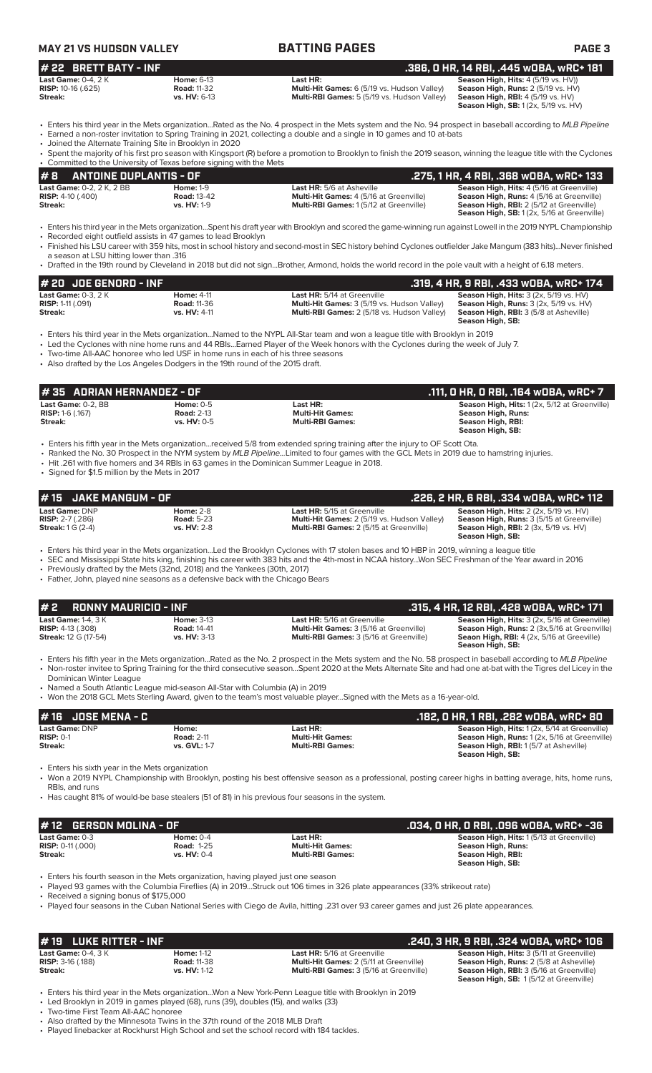### **MAY 21 VS HUDSON VALLEY BATTING PAGES PAGE 3 # 22 BRETT BATY - INF .386, 0 HR, 14 RBI, .445 wOBA, wRC+ 181 Last Game:** 0-4, 2 K **Home:** 6-13 **Last HR: Season High, Hits:** 4 (5/19 vs. HV)) **RISP:** 10-16 (.625) **Road: 11-32 Multi-Hit Games:** 6 (5/19 vs. Hudson Valley) **Season High, Runs: 2** (5/19 vs. HV)<br>**Streak: 3 (5/19 vs. HV:** 6-13 **Multi-RBI Games:** 5 (5/19 vs. Hudson Valley) **Season High, RBI:** 4 (5/19 **Multi-RBI Games:** 5 (5/19 vs. Hudson Valley) **Season High, SB:** 1 (2x, 5/19 vs. HV) • Enters his third year in the Mets organization...Rated as the No. 4 prospect in the Mets system and the No. 94 prospect in baseball according to *MLB Pipeline* • Earned a non-roster invitation to Spring Training in 2021, collecting a double and a single in 10 games and 10 at-bats • Joined the Alternate Training Site in Brooklyn in 2020 Spent the majority of his first pro season with Kingsport (R) before a promotion to Brooklyn to finish the 2019 season, winning the league title with the Cyclones • Committed to the University of Texas before signing with the Mets **Last Game:** DNP **Home:** 2-8 **Last HR:** 5/15 at Greenville **Season High, Hits:** 2 (2x, 5/19 vs. HV) **RISP:** 2-7 (.286) **Road:** 5-23 **Multi-Hit Games:** 2 (5/19 vs. Hudson Valley) **Season High, Runs:** 3 (5/15 at Greenville) **Season High, Hits:** 2 (2x, 5/19 vs. HV)<br> **RISP:** 2-7 (.286) **Road:** 5-23 **Road:** 5-23 **Multi-Hit Games:** 2 (5/19 vs. Hudson Valley) **Season High, Runs:** 3 (5/15 at Greenville)<br> **Streak:** 1 G (2-4) **vs. HV:** 2-8 **Multi-RBI Season High, SB:**  • Enters his third year in the Mets organization...Led the Brooklyn Cyclones with 17 stolen bases and 10 HBP in 2019, winning a league title • SEC and Mississippi State hits king, finishing his career with 383 hits and the 4th-most in NCAA history...Won SEC Freshman of the Year award in 2016 Previously drafted by the Mets (32nd, 2018) and the Yankees (30th, 2017) • Father, John, played nine seasons as a defensive back with the Chicago Bears **# 2 RONNY MAURICIO - INF .315, 4 HR, 12 RBI, .428 wOBA, wRC+ 171 Last Game:** 1-4, 3 K **Home:** 3-13 **Last HR:** 5/16 at Greenville **Season High, Hits:** 3 (2x, 5/16 at Greenville) **RISP:** 4-13 (.308) **Road:** 14-41 **Multi-Hit Games:** 3 (5/16 at Greenville) **Season High, Runs:** 2 (3x,5/16 at Greenville) **Streak:** 12 G (17-54) **vs. HV:** 3-13 **Multi-RBI Games:** 3 (5/16 at Greenville) **Seaon High, RBI:** 4 (2x, 5/16 at Greeville) **Season High, SB:** • Enters his fifth year in the Mets organization...Rated as the No. 2 prospect in the Mets system and the No. 58 prospect in baseball according to *MLB Pipeline* • Non-roster invitee to Spring Training for the third consecutive season...Spent 2020 at the Mets Alternate Site and had one at-bat with the Tigres del Licey in the Dominican Winter League • Named a South Atlantic League mid-season All-Star with Columbia (A) in 2019 • Won the 2018 GCL Mets Sterling Award, given to the team's most valuable player...Signed with the Mets as a 16-year-old. **# 15 JAKE MANGUM - OF**<br> **226, 2 HR, 6 RBI, .334 wOBA, wRC+ 112**<br> **RISP:** 2-7 (.286) **Riser 2-8 Riser 2-8 234 Multi-Hit Games:** 2 (5/19 vs. Hudson Valley) **Season High, Rins:** 3 (5/15 at Greenville) **# 8** ANTOINE DUPLANTIS - OF<br>
Last HR: 5/6 at Asheville **.275, 1 HR, 4 RBI, .368 wOBA, wRC+ 133**<br>
RISP: 4-10 (.400) Road: 13-42 Multi-Hit Games: 4 (5/16 at Greenville) Season High, Rins: 4 (5/16 at Greenville) **Last Game:** 0-2, 2 K, 2 BB **Home:** 1-9 **Last HR:** 5/6 at Asheville **Season High, Hits:** 4 (5/16 at Greenville) **RISP:** 4-10 (.400) **Road:** 13-42 **Multi-Hit Games:** 4 (5/16 at Greenville) **Season High, Runs:** 4 (5/16 at Greenville) **Streak: vs. HV:** 1-9 **Multi-RBI Games:** 1 (5/12 at Greenville) **Season High, RBI:** 2 (5/12 at Greenville) **Season High, SB:** 1 (2x, 5/16 at Greenville) • Enters his third year in the Mets organization...Spent his draft year with Brooklyn and scored the game-winning run against Lowell in the 2019 NYPL Championship • Recorded eight outfield assists in 47 games to lead Brooklyn • Finished his LSU career with 359 hits, most in school history and second-most in SEC history behind Cyclones outfielder Jake Mangum (383 hits)...Never finished a season at LSU hitting lower than .316 • Drafted in the 19th round by Cleveland in 2018 but did not sign...Brother, Armond, holds the world record in the pole vault with a height of 6.18 meters. **# 20 JOE GENORD - INF**<br> **174 Last Game:** 0-3, 2 K **.319, 4 Heta, 9 RBI, .433 wOBA, wRC+ 174**<br> **RISP:** 1-11 (.091) **RISP: 1-11 (.091)** Road: 11-36 **RISP: 1-11 COPT ARSP: 1-11 (.091) Read: 11-36** Multi-Hit Games: 3 (5/19 **Last Game:** 0-3, 2 K **Home:** 4-11 **Last HR:** 5/14 at Greenville **Season High, Hits:** 3 (2x, 5/19 vs. HV) **RISP:** 1-11 (.091) **Road:** 11-36 **Multi-Hit Games:** 3 (5/19 vs. Hudson Valley) **Season High, Runs:** 3 (2x, 5/19 vs. HV) **Streak: vs. HV:** 4-11 **Multi-RBI Games:** 2 (5/18 vs. Hudson Valley) **Season High, RBI:** 3 (5/8 at Asheville) **Season High, SB:**  • Enters his third year in the Mets organization...Named to the NYPL All-Star team and won a league title with Brooklyn in 2019 • Led the Cyclones with nine home runs and 44 RBIs...Earned Player of the Week honors with the Cyclones during the week of July 7. • Two-time All-AAC honoree who led USF in home runs in each of his three seasons • Also drafted by the Los Angeles Dodgers in the 19th round of the 2015 draft. **# 16 JOSE MENA - C .182, 0 HR, 1 RBI, .282 wOBA, wRC+ 80 Last Game:** DNP **Home: Last HR: Season High, Hits:** 1 (2x, 5/14 at Greenville) **RISP:** 0-1 **Road: 2-11 <b>Road: 2-11 Multi-Hit Games: Season High, Runs:** 1 (2x, 5/16 at Greenville) **Streak: vs. GVL:** 1-7 **Multi-RBI Games: Season High, RBI:** 1 (5/7 at Asheville) **Season High, SB:**  • Enters his sixth year in the Mets organization • Won a 2019 NYPL Championship with Brooklyn, posting his best offensive season as a professional, posting career highs in batting average, hits, home runs, RBIs, and runs • Has caught 81% of would-be base stealers (51 of 81) in his previous four seasons in the system. **# 12 GERSON MOLINA - OF .034, 0 HR, 0 RBI, .096 wOBA, wRC+ -36 Last Game: 0-3 Home: 0-4 Last HR: Season High, Hits: 1** (5/13 at Greenville) **Righter Season High, Hits: 1** (5/13 at Greenville) **Righter Season High Runs: Season High Runs: Season High Runs: RISP:** 0-11 (.000) **Road:** 1-25 **Multi-Hit Games: Season High, Runs: Streak: vs. HV:** 0-4 **Multi-RBI Games: Season High, RBI: Season High, SB:**  • Enters his fourth season in the Mets organization, having played just one season • Played 93 games with the Columbia Fireflies (A) in 2019...Struck out 106 times in 326 plate appearances (33% strikeout rate) • Received a signing bonus of \$175,000 • Played four seasons in the Cuban National Series with Ciego de Avila, hitting .231 over 93 career games and just 26 plate appearances. **Last Game:** 0-2, BB **Home:** 0-5 **Last HR: Last HR: Season High, Hits:** 1 (2x, 5/12 at Greenville)<br> **RISP:** 1-6 (.167) **Road:** 2-13 **Multi-Hit Games: Season High, Runs: Season High, Runs: RISP:** 1-6 (.167) **Road:** 2-13 **Multi-Hit Games: Season High, Runs: Streak: vs. HV:** 0-5 **Multi-RBI Games: Season High, RBI: Season High, SB:**  • Enters his fifth year in the Mets organization...received 5/8 from extended spring training after the injury to OF Scott Ota. • Ranked the No. 30 Prospect in the NYM system by *MLB Pipeline...*Limited to four games with the GCL Mets in 2019 due to hamstring injuries. • Hit .261 with five homers and 34 RBIs in 63 games in the Dominican Summer League in 2018. • Signed for \$1.5 million by the Mets in 2017 **# 35 ADRIAN HERNANDEZ - OF .111, 0 HR, 0 RBI, .164 wOBA, wRC+ 7 # 19 LUKE RITTER - INF .240, 3 HR, 9 RBI, .324 wOBA, wRC+ 106 Last Game:** 0-4, 3 K **Home:** 1-12 **Last HR:** 5/16 at Greenville **Season High, Hits:** 3 (5/11 at Greenville) **RISP:** 3-16 (.188) **Road:** 11-38 **Multi-Hit Games:** 2 (5/11 at Greenville) **Season High, Runs:** 2 (5/8 at Asheville)<br> **Riceal: RISP:** 3-16 (.188) **Season High, Runs:** 2 (5/8 at Asheville) **Season High, RISI:** 2 (5/8 at **Multi-RBI Games:** 3 (5/16 at Greenville) **Season High, SB:** 1 (5/12 at Greenville)

• Enters his third year in the Mets organization...Won a New York-Penn League title with Brooklyn in 2019 • Led Brooklyn in 2019 in games played (68), runs (39), doubles (15), and walks (33)

• Two-time First Team All-AAC honoree

• Also drafted by the Minnesota Twins in the 37th round of the 2018 MLB Draft

• Played linebacker at Rockhurst High School and set the school record with 184 tackles.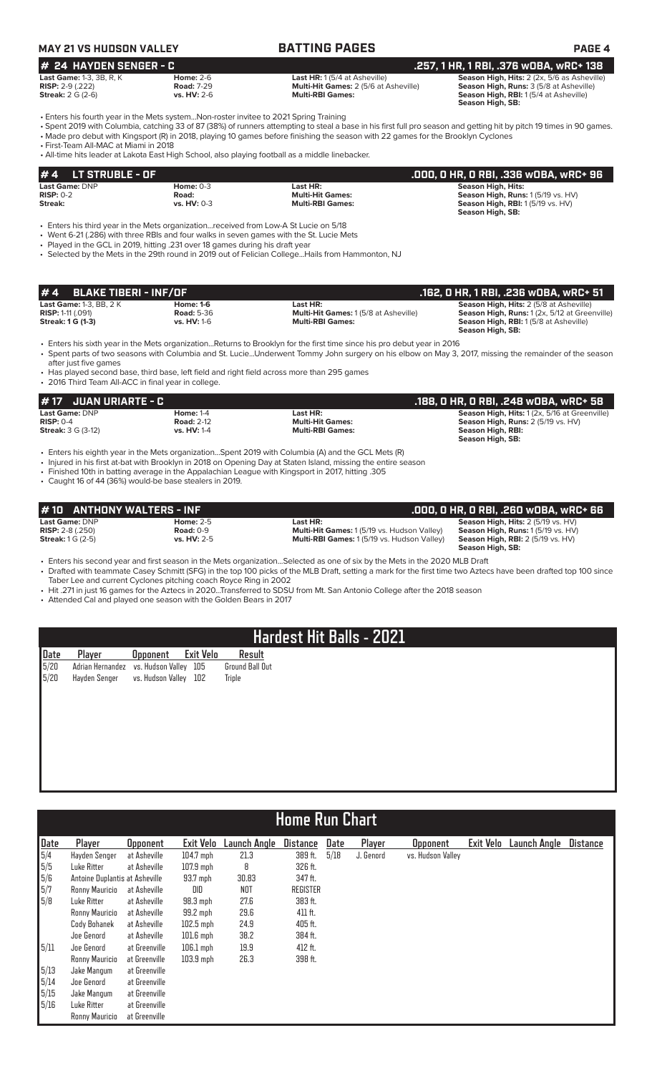## **MAY 21 VS HUDSON VALLEY BATTING PAGES PAGE 4**

## **# 24 HAYDEN SENGER - C**<br>Last HR: 1(5/4 at Asheville) **.257, 1 HR, 1 RBI, .376 wOBA, wRC+ 138**<br>Risp: 2-9 (.222) .222) Road: 7-29 Multi-Hit Games: 2 (5/6 at Asheville) Season High, Runs: 3 (5/8 at Asheville) **Last Game:** 1-3, 3B, R, K **Home:** 2-6 **Last HR:** 1 (5/4 at Asheville) **Season High, Hits:** 2 (2x, 5/6 as Asheville)

**RISP:** 2-9 (.222) **Road:** 7-29 **Multi-Hit Games:** 2 (5/6 at Asheville) **Season High, Runs:** 3 (5/8 at Asheville) **Streak:** 2 G (2-6) **vs. HV:** 2-6 **Multi-RBI Games: Season High, RBI:** 1 (5/4 at Asheville) **Season High, SB:** 

**Season High, SB:** 

• Enters his fourth year in the Mets system...Non-roster invitee to 2021 Spring Training

• Spent 2019 with Columbia, catching 33 of 87 (38%) of runners attempting to steal a base in his first full pro season and getting hit by pitch 19 times in 90 games. • Made pro debut with Kingsport (R) in 2018, playing 10 games before finishing the season with 22 games for the Brooklyn Cyclones

• First-Team All-MAC at Miami in 2018

• All-time hits leader at Lakota East High School, also playing football as a middle linebacker.

| $#4$ LT STRUBLE - OF  |               |                         | .000, 0 HR, 0 RBI, .336 w0BA, wRC+ 96 |
|-----------------------|---------------|-------------------------|---------------------------------------|
| <b>Last Game: DNP</b> | Home: $0-3$   | Last HR:                | Season High, Hits:                    |
| $RISP: 0-2$           | Road:         | <b>Multi-Hit Games:</b> | Season High, Runs: 1 (5/19 vs. HV)    |
| Streak:               | vs. $HV: 0-3$ | <b>Multi-RBI Games:</b> | Season High, RBI: 1(5/19 vs. HV)      |
|                       |               |                         | Season High, SB:                      |

• Enters his third year in the Mets organization...received from Low-A St Lucie on 5/18

• Went 6-21 (.286) with three RBIs and four walks in seven games with the St. Lucie Mets

• Played in the GCL in 2019, hitting .231 over 18 games during his draft year

• Selected by the Mets in the 29th round in 2019 out of Felician College...Hails from Hammonton, NJ

| $# 4$ BLAKE TIBERI - INF/OF    |                    |                                              | . .162, O HR, 1 RBI, .236 wOBA, wRC+ 51'       |
|--------------------------------|--------------------|----------------------------------------------|------------------------------------------------|
| <b>Last Game: 1-3. BB. 2 K</b> | Home: 1-6          | Last HR:                                     | <b>Season High, Hits: 2 (5/8 at Asheville)</b> |
| <b>RISP:</b> 1-11 $(.091)$     | <b>Road: 5-36</b>  | <b>Multi-Hit Games: 1 (5/8 at Asheville)</b> | Season High, Runs: 1 (2x, 5/12 at Greenville)  |
| <b>Streak: 1 G (1-3)</b>       | <b>vs. HV: 1-6</b> | <b>Multi-RBI Games:</b>                      | <b>Season High, RBI:</b> 1(5/8 at Asheville)   |
|                                |                    |                                              | Season High, SB:                               |

• Enters his sixth year in the Mets organization...Returns to Brooklyn for the first time since his pro debut year in 2016

• Spent parts of two seasons with Columbia and St. Lucie...Underwent Tommy John surgery on his elbow on May 3, 2017, missing the remainder of the season after just five games

• Has played second base, third base, left field and right field across more than 295 games • 2016 Third Team All-ACC in final year in college.

### **# 17 JUAN URIARTE - C .188, 0 HR, 0 RBI, .248 wOBA, wRC+ 58 Last Game:** DNP **Home:** 1-4 **Last HR: Season High, Hits:** 1 (2x, 5/16 at Greenville) **RISP:** 0-4 **Road:** 2-12 **Multi-Hit Games: Season High, Runs:** 2 (5/19 vs. HV) **Streak:** 3 G (3-12) **vs. HV:** 1-4 **Multi-RBI Games: Season High, RBI:**

• Enters his eighth year in the Mets organization...Spent 2019 with Columbia (A) and the GCL Mets (R)

• Injured in his first at-bat with Brooklyn in 2018 on Opening Day at Staten Island, missing the entire season

• Finished 10th in batting average in the Appalachian League with Kingsport in 2017, hitting .305

• Caught 16 of 44 (36%) would-be base stealers in 2019.

| $#10$ ANTHONY WALTERS - INF |                    |                                                    | .000, 0 HR, 0 RBI, .260 w0BA, wRC+ 66    |
|-----------------------------|--------------------|----------------------------------------------------|------------------------------------------|
| <b>Last Game: DNP</b>       | Home: $2-5$        | Last HR:                                           | Season High, Hits: 2 (5/19 vs. HV)       |
| <b>RISP:</b> $2-8$ (.250)   | Road: $0-9$        | <b>Multi-Hit Games: 1(5/19 vs. Hudson Valley)</b>  | <b>Season High, Runs: 1(5/19 vs. HV)</b> |
| <b>Streak:</b> $1 G (2-5)$  | <b>vs. HV: 2-5</b> | <b>Multi-RBI Games: 1 (5/19 vs. Hudson Valley)</b> | <b>Season High, RBI:</b> 2 (5/19 vs. HV) |
|                             |                    |                                                    | Season High, SB:                         |

• Enters his second year and first season in the Mets organization...Selected as one of six by the Mets in the 2020 MLB Draft • Drafted with teammate Casey Schmitt (SFG) in the top 100 picks of the MLB Draft, setting a mark for the first time two Aztecs have been drafted top 100 since

Taber Lee and current Cyclones pitching coach Royce Ring in 2002

• Hit .271 in just 16 games for the Aztecs in 2020...Transferred to SDSU from Mt. San Antonio College after the 2018 season

• Attended Cal and played one season with the Golden Bears in 2017

## **Hardest Hit Balls - 2021**

| Date Player Opponent Exit Velo<br>5/20 Adrian Hernandez vs. Hudson Valley 105 G<br>5/20 Hayden Senger vs. Hudson Valley 102 Tr<br>Ground Ball Out<br>Triple |  |  | Result |
|-------------------------------------------------------------------------------------------------------------------------------------------------------------|--|--|--------|
|                                                                                                                                                             |  |  |        |
|                                                                                                                                                             |  |  |        |

|                                                                  | <b>Home Run Chart</b>          |                 |             |              |                 |      |           |                   |           |              |                 |  |
|------------------------------------------------------------------|--------------------------------|-----------------|-------------|--------------|-----------------|------|-----------|-------------------|-----------|--------------|-----------------|--|
|                                                                  |                                |                 |             |              |                 |      |           |                   |           |              |                 |  |
| Date                                                             | Player                         | <b>Opponent</b> | Exit Velo   | Launch Angle | <b>Distance</b> | Date | Player    | <b>Opponent</b>   | Exit Velo | Launch Angle | <b>Distance</b> |  |
|                                                                  | Hayden Senger                  | at Asheville    | $104.7$ mph | 21.3         | 389 ft.         | 5/18 | J. Genord | vs. Hudson Valley |           |              |                 |  |
|                                                                  | Luke Ritter                    | at Asheville    | $107.9$ mph | 8            | 326 ft.         |      |           |                   |           |              |                 |  |
| $\frac{5}{4}$<br>$\frac{5}{5}$<br>$\frac{5}{6}$<br>$\frac{5}{7}$ | Antoine Duplantis at Asheville |                 | 93.7 mph    | 30.83        | 347 ft.         |      |           |                   |           |              |                 |  |
|                                                                  | Ronny Mauricio                 | at Asheville    | DID         | NOT          | REGISTER        |      |           |                   |           |              |                 |  |
| 5/8                                                              | Luke Ritter                    | at Asheville    | $98.3$ mph  | 27.6         | 383 ft.         |      |           |                   |           |              |                 |  |
|                                                                  | Ronny Mauricio                 | at Asheville    | 99.2 mph    | 29.6         | 411 ft.         |      |           |                   |           |              |                 |  |
|                                                                  | Cody Bohanek                   | at Asheville    | $102.5$ mph | 24.9         | 405 ft.         |      |           |                   |           |              |                 |  |
|                                                                  | Joe Genord                     | at Asheville    | $101.6$ mph | 38.2         | 384 ft.         |      |           |                   |           |              |                 |  |
| 5/11                                                             | Joe Genord                     | at Greenville   | $106.1$ mph | 19.9         | 412 ft.         |      |           |                   |           |              |                 |  |
|                                                                  | Ronny Mauricio                 | at Greenville   | $103.9$ mph | 26.3         | 398 ft.         |      |           |                   |           |              |                 |  |
| 5/13                                                             | Jake Mangum                    | at Greenville   |             |              |                 |      |           |                   |           |              |                 |  |
| 5/14                                                             | Joe Genord                     | at Greenville   |             |              |                 |      |           |                   |           |              |                 |  |
| 5/15                                                             | Jake Mangum                    | at Greenville   |             |              |                 |      |           |                   |           |              |                 |  |
| 5/16                                                             | Luke Ritter                    | at Greenville   |             |              |                 |      |           |                   |           |              |                 |  |
|                                                                  | Ronny Mauricio                 | at Greenville   |             |              |                 |      |           |                   |           |              |                 |  |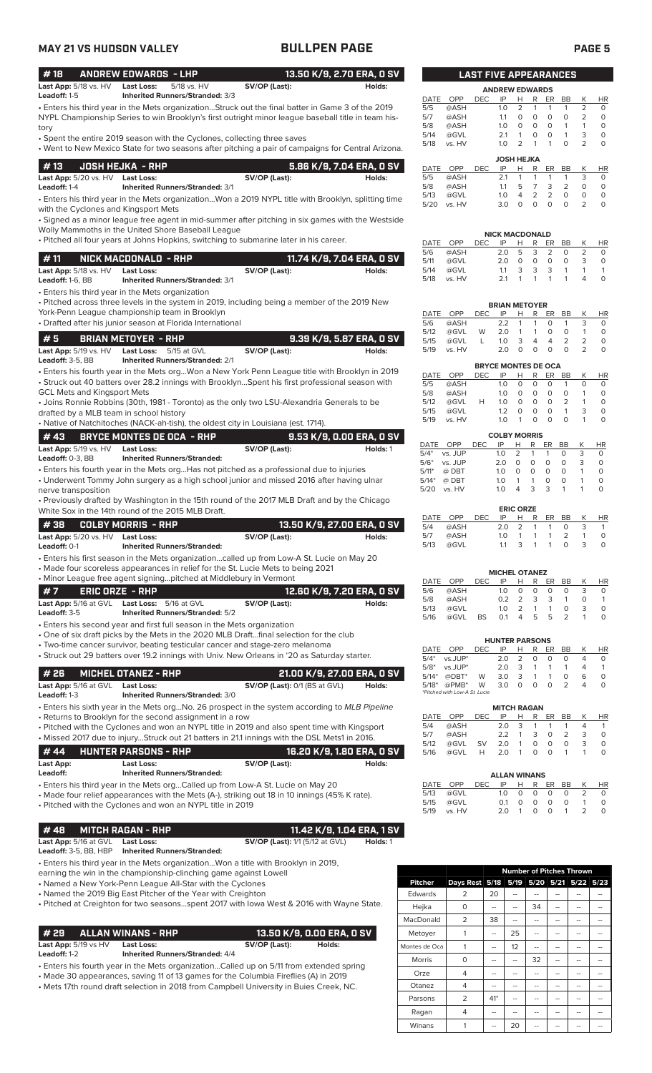| <b>MAY 21 VS HUDSON VALLEY</b>                                                                                                                                                                                  | <b>BULLPEN PAGE</b> |                            |                    |                      |                              |                   |                                        |                                         |                                                                                    |                                                  | <b>PAGE 5</b>                      |
|-----------------------------------------------------------------------------------------------------------------------------------------------------------------------------------------------------------------|---------------------|----------------------------|--------------------|----------------------|------------------------------|-------------------|----------------------------------------|-----------------------------------------|------------------------------------------------------------------------------------|--------------------------------------------------|------------------------------------|
| #18<br><b>ANDREW EDWARDS - LHP</b>                                                                                                                                                                              |                     | 13.50 K/9, 2.70 ERA, 0 SV  |                    |                      | <b>LAST FIVE APPEARANCES</b> |                   |                                        |                                         |                                                                                    |                                                  |                                    |
| Last App: 5/18 vs. HV<br><b>Last Loss:</b><br>5/18 vs. HV<br>Leadoff: 1-5<br>Inherited Runners/Stranded: 3/3                                                                                                    | SV/OP (Last):       | Holds:                     | DATE               | OPP                  | <b>DEC</b>                   | IP                | <b>ANDREW EDWARDS</b><br>Н             | R                                       | ER<br>BB                                                                           | K                                                | <b>HR</b>                          |
| • Enters his third year in the Mets organizationStruck out the final batter in Game 3 of the 2019<br>NYPL Championship Series to win Brooklyn's first outright minor league baseball title in team his-<br>tory |                     |                            | 5/5<br>5/7<br>5/8  | @ASH<br>@ASH<br>@ASH |                              | 1.0<br>1.1<br>1.0 | 2<br>$\circ$<br>$\circ$                | $\mathbf{1}$<br>0<br>$\circ$            | $\mathbf{1}$<br>$\mathbf{1}$<br>$\mathsf O$<br>$\circ$<br>$\Omega$<br>$\mathbf{1}$ | $\overline{2}$<br>$\overline{2}$<br>$\mathbf{1}$ | $\circ$<br>$\mathsf O$<br>$\Omega$ |
| • Spent the entire 2019 season with the Cyclones, collecting three saves<br>• Went to New Mexico State for two seasons after pitching a pair of campaigns for Central Arizona.                                  |                     |                            | 5/14<br>5/18       | @GVL<br>vs. HV       |                              | 2.1<br>1.0        | $\mathbf{1}$<br>2<br><b>JOSH HEJKA</b> | $\circ$<br>$\overline{1}$               | $\circ$<br>$\mathbf{1}$<br>$\mathbf{1}$<br>$\Omega$                                | 3<br>$\overline{2}$                              | $\circ$<br>$\circ$                 |
| #13<br><b>JOSH HEJKA - RHP</b>                                                                                                                                                                                  |                     | 5.86 K/9, 7.04 ERA, 0 SV   | DATE               | OPP                  | <b>DEC</b>                   | IP                | Н                                      | R                                       | ER<br><b>BB</b>                                                                    | К                                                | <b>HR</b>                          |
| Last App: 5/20 vs. HV Last Loss:<br>Leadoff: 1-4<br><b>Inherited Runners/Stranded: 3/1</b>                                                                                                                      | SV/OP (Last):       | Holds:                     | 5/5<br>5/8         | @ASH<br>@ASH         |                              | 2.1<br>1.1        | $\mathbf{1}$<br>5                      | 1<br>$\overline{7}$                     | $\mathbf{1}$<br>1<br>3<br>2                                                        | 3<br>$\circ$                                     | $\circ$<br>$\circ$                 |
| . Enters his third year in the Mets organizationWon a 2019 NYPL title with Brooklyn, splitting time<br>with the Cyclones and Kingsport Mets                                                                     |                     |                            | 5/13<br>5/20       | @GVL<br>vs. HV       |                              | 1.0<br>3.0        | $\overline{4}$<br>$\circ$              | $\overline{2}$<br>$\circ$               | $\overline{2}$<br>$\Omega$<br>$\circ$<br>$\circ$                                   | $\Omega$<br>2                                    | $\circ$<br>$\circ$                 |
| • Signed as a minor league free agent in mid-summer after pitching in six games with the Westside<br>Wolly Mammoths in the United Shore Baseball League                                                         |                     |                            |                    |                      |                              |                   |                                        |                                         |                                                                                    |                                                  |                                    |
| . Pitched all four years at Johns Hopkins, switching to submarine later in his career.                                                                                                                          |                     |                            | DATE               | OPP                  | DEC.                         | IP                | <b>NICK MACDONALD</b><br>Н             | R                                       | <b>BB</b><br>ER                                                                    | K                                                | HR                                 |
|                                                                                                                                                                                                                 |                     |                            | 5/6                | @ASH                 |                              | 2.0               | 5                                      | 3                                       | 2<br>$\circ$                                                                       | $\overline{2}$                                   | $\circ$                            |
| #11<br>NICK MACDONALD - RHP                                                                                                                                                                                     |                     | 11.74 K/9, 7.04 ERA, 0 SV  | 5/11               | @GVL                 |                              | 2.0               | $\circ$                                | $\circ$                                 | $\circ$<br>$\circ$                                                                 | 3                                                | $\circ$                            |
| Last App: 5/18 vs. HV<br><b>Last Loss:</b><br>Leadoff: 1-6. BB<br><b>Inherited Runners/Stranded: 3/1</b>                                                                                                        | SV/OP (Last):       | Holds:                     | 5/14<br>5/18       | @GVL<br>vs. HV       |                              | 1.1<br>2.1        | 3<br>$\mathbf{1}$                      | 3<br>$\mathbf{1}$                       | 3<br>$\mathbf{1}$<br>$\mathbf{1}$<br>$\mathbf{1}$                                  | $\mathbf{1}$<br>4                                | $\mathbf{1}$<br>$\mathsf O$        |
| • Enters his third year in the Mets organization                                                                                                                                                                |                     |                            |                    |                      |                              |                   |                                        |                                         |                                                                                    |                                                  |                                    |
| . Pitched across three levels in the system in 2019, including being a member of the 2019 New<br>York-Penn League championship team in Brooklyn                                                                 |                     |                            |                    |                      |                              |                   | <b>BRIAN METOYER</b>                   |                                         |                                                                                    |                                                  |                                    |
| • Drafted after his junior season at Florida International                                                                                                                                                      |                     |                            | <b>DATE</b><br>5/6 | OPP<br>@ASH          | <b>DEC</b>                   | IP<br>2.2         | H<br>$\mathbf{1}$                      | R<br>$\mathbf{1}$                       | <b>BB</b><br>ER<br>$\Omega$<br>$\mathbf{1}$                                        | К<br>3                                           | <b>HR</b><br>$\circ$               |
|                                                                                                                                                                                                                 |                     |                            | 5/12               | @GVL                 | W                            | 2.0               | $\mathbf{1}$                           | 1                                       | $\mathbf 0$<br>$\circ$                                                             | $\mathbf{1}$                                     | $\circ$                            |
| #5<br><b>BRIAN METOYER - RHP</b>                                                                                                                                                                                |                     | 9.39 K/9, 5.87 ERA, 0 SV   | 5/15               | @GVL                 | L                            | 1.0               | 3                                      | $\overline{4}$                          | $\overline{2}$<br>$\overline{4}$                                                   | $\overline{2}$                                   | $\circ$                            |
| Last App: 5/19 vs. HV<br><b>Last Loss:</b><br>5/15 at GVL<br>Leadoff: 3-5, BB<br><b>Inherited Runners/Stranded: 2/1</b>                                                                                         | SV/OP (Last):       | Holds:                     | 5/19               | vs. HV               |                              | 2.0               | $\circ$                                | $\circ$                                 | $\mathbf 0$<br>$\circ$                                                             | $\overline{2}$                                   | $\circ$                            |
| • Enters his fourth year in the Mets orgWon a New York Penn League title with Brooklyn in 2019                                                                                                                  |                     |                            | <b>DATE</b>        | OPP                  | DEC                          | IP                | <b>BRYCE MONTES DE OCA</b><br>Н.       | R                                       | ER<br>BB                                                                           | K                                                |                                    |
| • Struck out 40 batters over 28.2 innings with BrooklynSpent his first professional season with                                                                                                                 |                     |                            | 5/5                | @ASH                 |                              | 1.0               | $\circ$                                | $\circ$                                 | $\circ$<br>$\mathbf{1}$                                                            | $\circ$                                          | <b>HR</b><br>$\circ$               |
| <b>GCL Mets and Kingsport Mets</b>                                                                                                                                                                              |                     |                            | 5/8                | @ASH                 |                              | 1.0               | $\circ$                                | $\circ$                                 | $\circ$<br>$\mathsf O$                                                             | $\mathbf{1}$                                     | $\mathsf O$                        |
| • Joins Ronnie Robbins (30th, 1981 - Toronto) as the only two LSU-Alexandria Generals to be                                                                                                                     |                     |                            | 5/12               | @GVL                 | H                            | 1.0               | $\circ$                                | $\mathsf{O}$                            | $\circ$<br>2                                                                       | $\mathbf{1}$                                     | $\circ$                            |
| drafted by a MLB team in school history                                                                                                                                                                         |                     |                            | 5/15<br>5/19       | @GVL<br>vs. HV       |                              | 1.2<br>1.0        | $\circ$<br>$\mathbf{1}$                | $\circ$<br>$\Omega$                     | $\Omega$<br>$\mathbf{1}$<br>$\Omega$<br>$\Omega$                                   | 3<br>$\mathbf{1}$                                | $\circ$<br>$\circ$                 |
| • Native of Natchitoches (NACK-ah-tish), the oldest city in Louisiana (est. 1714).                                                                                                                              |                     |                            |                    |                      |                              |                   |                                        |                                         |                                                                                    |                                                  |                                    |
| #43<br>BRYCE MONTES DE OCA - RHP                                                                                                                                                                                |                     | 9.53 K/9, 0.00 ERA, 0 SV   |                    |                      |                              |                   | <b>COLBY MORRIS</b>                    |                                         |                                                                                    |                                                  |                                    |
| Last App: 5/19 vs. HV<br>Last Loss:                                                                                                                                                                             | SV/OP (Last):       | Holds: 1                   | DATE<br>$5/4*$     | OPP<br>vs. JUP       | <b>DEC</b>                   | IP<br>1.0         | H.<br>2                                | ER<br>R<br>$\mathbf{1}$<br>$\mathbf{1}$ | <b>BB</b><br>$\circ$                                                               | K<br>3                                           | <b>HR</b><br>0                     |
| Leadoff: 0-3, BB<br><b>Inherited Runners/Stranded:</b>                                                                                                                                                          |                     |                            | $5/6*$             | vs. JUP              |                              | 2.0               | $\circ$<br>$\circ$                     | $\circ$                                 | $\circ$                                                                            | 3                                                | $\mathsf O$                        |
| • Enters his fourth year in the Mets orgHas not pitched as a professional due to injuries                                                                                                                       |                     |                            | $5/11*$            | @ DBT                |                              | 1.0               | $\circ$                                | $\circ$<br>$\circ$                      | $\Omega$                                                                           | $\mathbf{1}$                                     | $\circ$                            |
| • Underwent Tommy John surgery as a high school junior and missed 2016 after having ulnar                                                                                                                       |                     |                            | $5/14*$            | @ DBT                |                              | 1.0               | $\mathbf{1}$<br>$\mathbf{1}$           | $\circ$                                 | $\Omega$                                                                           | $\mathbf{1}$                                     | $\circ$                            |
| nerve transposition                                                                                                                                                                                             |                     |                            | 5/20               | vs. HV               |                              | 1.0               | $\overline{4}$<br>3                    | 3                                       | $\mathbf{1}$                                                                       | $\mathbf{1}$                                     | $\circ$                            |
| • Previously drafted by Washington in the 15th round of the 2017 MLB Draft and by the Chicago                                                                                                                   |                     |                            |                    |                      |                              |                   | <b>ERIC ORZE</b>                       |                                         |                                                                                    |                                                  |                                    |
| White Sox in the 14th round of the 2015 MLB Draft.                                                                                                                                                              |                     |                            | DATE               | OPP                  | DEC                          | IP                | Н.                                     | R                                       | ER<br><b>BB</b>                                                                    | K                                                | <b>HR</b>                          |
| #38<br><b>COLBY MORRIS - RHP</b>                                                                                                                                                                                |                     | 13.50 K/9, 27.00 ERA, 0 SV | 5/4                | @ASH                 |                              | 2.0               | 2                                      | $\mathbf{1}$                            | $\mathbf{1}$<br>$\circ$                                                            | 3                                                | $\mathbf{1}$                       |
| Last App: 5/20 vs. HV Last Loss:                                                                                                                                                                                | SV/OP (Last):       | Holds:                     | 5/7                | @ASH                 |                              | 1.0               | $\mathbf{1}$                           | $\mathbf{1}$                            | $\overline{2}$<br>$\mathbf{1}$<br>$\Omega$<br>$\mathbf{1}$                         | $\mathbf{1}$<br>3                                | $\mathsf O$<br>$\circ$             |
| Leadoff: 0-1<br><b>Inherited Runners/Stranded:</b>                                                                                                                                                              |                     |                            | 5/13               | @GVL                 |                              | 1.1               | 3                                      | $\mathbf{1}$                            |                                                                                    |                                                  |                                    |
| • Enters his first season in the Mets organizationcalled up from Low-A St. Lucie on May 20                                                                                                                      |                     |                            |                    |                      |                              |                   |                                        |                                         |                                                                                    |                                                  |                                    |

• Made four scoreless appearances in relief for the St. Lucie Mets to being 2021

• Minor League free agent signing...pitched at Middlebury in Vermont

| l #7<br>ERIC ORZE - RHP      |                                        |               | 12.60 K/9. 7.20 ERA. 0 SV |
|------------------------------|----------------------------------------|---------------|---------------------------|
| <b>Last App:</b> 5/16 at GVL | <b>Last Loss:</b> 5/16 at GVL          | SV/OP (Last): | Holds:                    |
| <b>Leadoff:</b> 3-5          | <b>Inherited Runners/Stranded: 5/2</b> |               |                           |

• Enters his second year and first full season in the Mets organization

- One of six draft picks by the Mets in the 2020 MLB Draft...final selection for the club
- Two-time cancer survivor, beating testicular cancer and stage-zero melanoma

• Struck out 29 batters over 19.2 innings with Univ. New Orleans in '20 as Saturday starter.

|                       | $#26$ MICHEL OTANEZ - RHP              | 21.00 K/9, 27.00 ERA, 0 SV           |        |
|-----------------------|----------------------------------------|--------------------------------------|--------|
| Last App: 5/16 at GVL | Last Loss:                             | <b>SV/OP (Last):</b> 0/1 (BS at GVL) | Holds: |
| <b>Leadoff:</b> 1-3   | <b>Inherited Runners/Stranded: 3/0</b> |                                      |        |

• Enters his sixth year in the Mets org...No. 26 prospect in the system according to *MLB Pipeline* • Returns to Brooklyn for the second assignment in a row

• Pitched with the Cyclones and won an NYPL title in 2019 and also spent time with Kingsport • Missed 2017 due to injury...Struck out 21 batters in 21.1 innings with the DSL Mets1 in 2016.

|                       | <i>H</i> 44 HUNTER PARSONS - RHP                                                |               | 16.20 K/9, 1.80 ERA, 0 SV |
|-----------------------|---------------------------------------------------------------------------------|---------------|---------------------------|
| Last App:<br>Leadoff: | <b>Last Loss:</b><br><b>Inherited Runners/Stranded:</b>                         | SV/OP (Last): | Holds:                    |
|                       | • Enters his third year in the Mets orgCalled up from Low-A St. Lucie on May 20 |               |                           |

• Made four relief appearances with the Mets (A-), striking out 18 in 10 innings (45% K rate).

• Pitched with the Cyclones and won an NYPL title in 2019

### **# 48 MITCH RAGAN - RHP 11.42 K/9, 1.04 ERA, 1 SV**

## **Last App:** 5/16 at GVL **Last Loss: SV/OP (Last):** 1/1 (5/12 at GVL) **Holds:** 1

**Leadoff:** 3-5, BB, HBP **Inherited Runners/Stranded:**

- Enters his third year in the Mets organization...Won a title with Brooklyn in 2019,
- earning the win in the championship-clinching game against Lowell
- Named a New York-Penn League All-Star with the Cyclones
- Named the 2019 Big East Pitcher of the Year with Creighton

# **# 29 ALLAN WINANS - RHP 13.50 K/9, 0.00 ERA, 0 SV**

Last App: 5/19 vs HV Last Loss: SV/OP (Last): Holds:<br>Leadoff: 1-2 Inherited Runners/Stranded: 4/4 **Leadoff:** 1-2 **Inherited Runners/Stranded:** 4/4

• Enters his fourth year in the Mets organization...Called up on 5/11 from extended spring

| <u>Entere relative pour un the moto organization modification de la montenacidad opin</u> |
|-------------------------------------------------------------------------------------------|
| • Made 30 appearances, saving 11 of 13 games for the Columbia Fireflies (A) in 2019       |
| • Mets 17th round draft selection in 2018 from Campbell University in Buies Creek, NC.    |

| <b>LAST FIVE APPEARANCES</b> |       |     |                   |                |                |                |                |                |           |  |  |
|------------------------------|-------|-----|-------------------|----------------|----------------|----------------|----------------|----------------|-----------|--|--|
| <b>ANDREW EDWARDS</b>        |       |     |                   |                |                |                |                |                |           |  |  |
| <b>DATE</b>                  | OPP   | DEC | IP                | н              | R              | ER             | ВB             | Κ              | <b>HR</b> |  |  |
| 5/5                          | @ASH  |     | 1.0               | 2              | 1              | 1              | 1              | 2              | $\Omega$  |  |  |
| 5/7                          | @ASH  |     | 11                | $\Omega$       | $\Omega$       | $\Omega$       | $\Omega$       | 2              | $\Omega$  |  |  |
| 5/8                          | @ASH  |     | 1.0               | $\Omega$       | $\Omega$       | $\Omega$       | 1              | 1              | 0         |  |  |
| 5/14                         | @GVL  |     | 2.1               | 1              | $\Omega$       | O              | 1              | 3              | 0         |  |  |
| 5/18                         | vs HV |     | 1.0               | $\overline{2}$ | 1              | 1              | O              | $\overline{2}$ | 0         |  |  |
|                              |       |     | <b>JOSH HEJKA</b> |                |                |                |                |                |           |  |  |
| <b>DATE</b>                  | OPP   | DEC | IP                | н              | R              | ER             | <b>BB</b>      | K              | <b>HR</b> |  |  |
| 5/5                          | @ASH  |     | 2.1               | 1              | 1              | 1              | 1              | 3              | $\Omega$  |  |  |
| 5/8                          | @ASH  |     | 1.1               | 5              | 7              | 3              | $\overline{2}$ | 0              | 0         |  |  |
| 5/13                         | @GVL  |     | 1.0               | 4              | $\overline{2}$ | $\overline{2}$ | $\Omega$       | O              | $\Omega$  |  |  |
| 5/20                         | vs HV |     | 3.0               | O              | $\Omega$       | ∩              | O              | っ              | O         |  |  |
|                              |       |     |                   |                |                |                |                |                |           |  |  |

| <b>NICK MACDONALD</b> |       |      |     |    |   |    |           |   |                                    |  |  |  |
|-----------------------|-------|------|-----|----|---|----|-----------|---|------------------------------------|--|--|--|
| DATE                  | OPP   | DEC. | IP  | н  | R | ER | <b>RR</b> |   | <b>HR</b>                          |  |  |  |
| 5/6                   | @ASH  |      | 2 O | ь. | 3 | 2  | O         |   | O                                  |  |  |  |
| 5/11                  | @GVL  |      | 2 O | Ω  | Ω | Ω  | Ω         | 3 | O                                  |  |  |  |
| 5/14                  | @GVL  |      | 11  | 3  | 3 | 3  |           |   |                                    |  |  |  |
| 5/18                  | vs HV |      | 21  |    |   |    |           |   | $\scriptstyle\rm\scriptstyle{(1)}$ |  |  |  |

| <b>BRIAN METOYER</b> |        |     |                |                |                |                |           |   |    |  |  |  |
|----------------------|--------|-----|----------------|----------------|----------------|----------------|-----------|---|----|--|--|--|
| DATE                 | OPP    | DEC | IP             | н              | R              | ER             | <b>BB</b> |   | ΗR |  |  |  |
| 5/6                  | @ASH   |     | 2.2            | $\overline{1}$ | 1              | O              |           | ₹ | O  |  |  |  |
| 5/12                 | @GVL   | W   | 2.0            | 1              | 1              | O              | O         |   |    |  |  |  |
| 5/15                 | @GVL   |     | 1 <sub>O</sub> | 3              | $\overline{4}$ | $\overline{4}$ | 2         |   |    |  |  |  |
| 5/19                 | vs. HV |     | 2 O            |                | O              | Ω              | O         |   |    |  |  |  |
|                      |        |     |                |                |                |                |           |   |    |  |  |  |

| <b>BRYCE MONTES DE OCA</b> |        |      |            |   |   |          |    |   |    |  |  |
|----------------------------|--------|------|------------|---|---|----------|----|---|----|--|--|
| DATE                       | OPP    | DEC. | IP         | н | R | ER       | BB |   | ΗR |  |  |
| 5/5                        | @ASH   |      | 1 $\Omega$ | O | O | $\Omega$ |    | O | O  |  |  |
| 5/8                        | @ASH   |      | 1 $\Omega$ | O | O | O        | O  |   | C  |  |  |
| 5/12                       | @GVL   | н    | 1 $\Omega$ | O | O | O        | 2  |   | O  |  |  |
| 5/15                       | @GVL   |      | 12         | O | Ω | Ω        |    | 3 | O  |  |  |
| 5/19                       | vs. HV |      | 1 N        |   | Ω | Ω        | O  |   |    |  |  |
|                            |        |      |            |   |   |          |    |   |    |  |  |

| <b>COLBY MORRIS</b> |            |      |          |               |    |    |    |   |     |  |  |
|---------------------|------------|------|----------|---------------|----|----|----|---|-----|--|--|
| DATE                | <b>OPP</b> | DEC. | IP       | н             | R  | ER | ВB |   | HR. |  |  |
| $5/4*$              | vs. JUP    |      | 1.0      | $\mathcal{L}$ | -1 |    | O  | 3 | O   |  |  |
| $5/6*$              | vs. JUP    |      | 2 O      | Ω             | 0  | Ω  | O  | 3 | O   |  |  |
| $5/11*$             | @ DBT      |      | 10       |               | 0  | O  | O  |   | Ω   |  |  |
| $5/14*$             | @ DBT      |      | 10       |               |    | Ω  | Ω  |   | O   |  |  |
| 5/20                | vs. HV     |      | 1 $\cap$ |               | 3  | 3  |    |   |     |  |  |
|                     |            |      |          |               |    |    |    |   |     |  |  |

|          | <b>ERIC ORZE</b> |      |     |              |   |       |                |   |    |
|----------|------------------|------|-----|--------------|---|-------|----------------|---|----|
| DATE OPP |                  | DEC. | IP  | н            | R |       | ER BB          | Κ | HR |
| 5/4      | @ASH             |      | 202 |              |   | 1 1   | O              | 3 |    |
| 5/7      | @ASH             |      | 10  |              |   | 1 1 1 | $\overline{2}$ |   |    |
| 5/13     | @GVL             |      | 11  | $\mathbf{B}$ |   | 1 1   | $\Omega$       | 3 |    |

|      |            |      | <b>MICHEL OTANEZ</b> |                |               |          |    |   |     |
|------|------------|------|----------------------|----------------|---------------|----------|----|---|-----|
| DATE | <b>OPP</b> | DEC. | IP                   | н              | R             | ER.      | BB | Κ | HR. |
| 5/6  | @ASH       |      | $1 \Omega$           | O.             | O             | $\Omega$ | O  | 3 | Ω   |
| 5/8  | @ASH       |      | 0.2                  | $\overline{2}$ | $\mathcal{B}$ | 3        |    | O |     |
| 5/13 | @GVL       |      | 1 <sub>O</sub>       | $\mathcal{P}$  | 1             |          | Ω  | ₹ | Ω   |
| 5/16 | @GVL       | BS   | 0.1                  | 4              | 5             | ь.       | 2  |   |     |

|         | <b>HUNTER PARSONS</b>         |      |      |                |   |    |               |   |    |
|---------|-------------------------------|------|------|----------------|---|----|---------------|---|----|
| DATE    | OPP                           | DEC. | IP   | н              | R | FR | <b>B</b> R    |   | HR |
| $5/4*$  | $vs.$ JUP $*$                 |      | 2 O  | $\overline{2}$ | O | O  | O             |   | O  |
| $5/8*$  | $vs.$ JUP*                    |      | 2 O  | $\mathcal{R}$  | 1 | 1  | 1             |   |    |
| $5/14*$ | $@DBT^*$                      | W    | 30   | $\mathbf{3}$   | 1 | 1  | O             | 6 | O  |
| $5/18*$ | $@PMB*$                       | W    | -3.0 | $\Omega$       | 0 | O  | $\mathcal{L}$ |   | O  |
|         | *Pitched with Low-A St. Lucie |      |      |                |   |    |               |   |    |

|      |      |           | <b>MITCH RAGAN</b> |                         |               |    |           |   |    |
|------|------|-----------|--------------------|-------------------------|---------------|----|-----------|---|----|
| DATE | OPP  | DEC       | IP                 | н                       | R             | ER | <b>BB</b> |   | HR |
| 5/4  | @ASH |           | 2.0                | $\overline{\mathbf{3}}$ | -1            | 1  |           |   |    |
| 5/7  | @ASH |           | フフ                 |                         | $\mathcal{R}$ | O  | 2         | 3 | O  |
| 5/12 | @GVL | <b>SV</b> | 2.0                | -1                      | 0             | O  | O         | 3 | O  |
| 5/16 | @GVL | H         | 2.0                | -1                      | O             | Ω  |           |   |    |

|      |          |                  | <b>ALLAN WINANS</b> |          |                |          |             |               |           |
|------|----------|------------------|---------------------|----------|----------------|----------|-------------|---------------|-----------|
|      | DATE OPP | DEC IP H R ER BB |                     |          |                |          |             | K             | <b>HR</b> |
| 5/13 | @GVL     |                  |                     |          |                | 10000    | $\Omega$    | 2             |           |
| 5/15 | @GVL     |                  | O 1                 | $\Omega$ | $\overline{0}$ | $\Omega$ | $\Omega$    |               |           |
| 5/19 | vs. HV   |                  | 2 O                 |          | $\cap$         |          | $0 \quad 1$ | $\mathcal{P}$ |           |

|                |                | <b>Number of Pitches Thrown</b> |    |    |    |                          |    |
|----------------|----------------|---------------------------------|----|----|----|--------------------------|----|
| <b>Pitcher</b> | Days Rest 5/18 |                                 |    |    |    | 5/19 5/20 5/21 5/22 5/23 |    |
| Edwards        | $\overline{2}$ | 20                              |    |    |    |                          |    |
| Hejka          | 0              |                                 |    | 34 |    |                          |    |
| MacDonald      | $\overline{2}$ | 38                              | -- | -- | -- |                          | -- |
| Metoyer        | 1              |                                 | 25 |    |    |                          |    |
| Montes de Oca  | 1              |                                 | 12 |    | -- |                          |    |
| Morris         | O              |                                 | -- | 32 |    | --                       | -- |
| Orze           | 4              | --                              | -- | -- | -- | --                       | -- |
| Otanez         | 4              |                                 |    |    |    |                          |    |
| Parsons        | $\overline{2}$ | $41*$                           |    | -- | -- |                          |    |
| Ragan          | 4              |                                 | -- | -- | -- | --                       | -- |
| Winans         |                |                                 | 20 |    |    |                          |    |

<sup>•</sup> Pitched at Creighton for two seasons...spent 2017 with Iowa West & 2016 with Wayne State.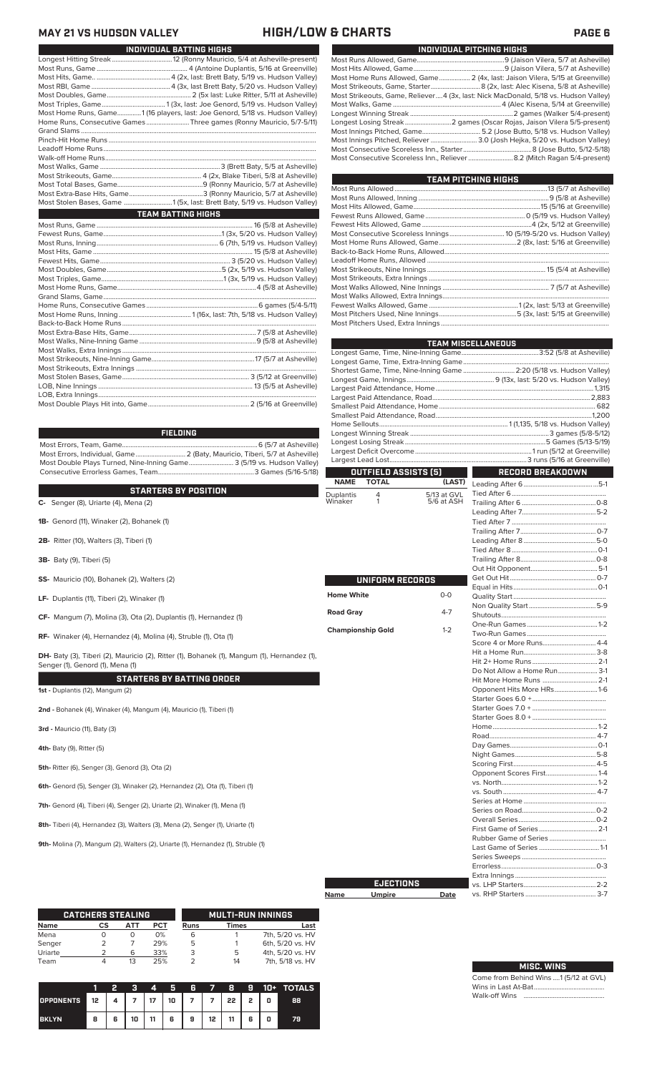**MAY 21 VS HUDSON VALLEY HIGH/LOW & CHARTS** 

| INDIVIDUAL BATTING HIGHS                                                     |  |
|------------------------------------------------------------------------------|--|
|                                                                              |  |
|                                                                              |  |
|                                                                              |  |
|                                                                              |  |
|                                                                              |  |
|                                                                              |  |
| Most Home Runs, Game1 (16 players, last: Joe Genord, 5/18 vs. Hudson Valley) |  |
| Home Runs, Consecutive Games Three games (Ronny Mauricio, 5/7-5/11)          |  |
|                                                                              |  |
|                                                                              |  |
|                                                                              |  |
|                                                                              |  |
|                                                                              |  |
|                                                                              |  |
|                                                                              |  |
|                                                                              |  |
| Most Stolen Bases, Game 1 (5x, last: Brett Baty, 5/19 vs. Hudson Valley)     |  |
| <b>TEAM BATTING HIGHS</b>                                                    |  |
|                                                                              |  |
|                                                                              |  |
|                                                                              |  |
|                                                                              |  |
|                                                                              |  |
|                                                                              |  |
|                                                                              |  |
|                                                                              |  |
|                                                                              |  |
|                                                                              |  |
|                                                                              |  |
|                                                                              |  |
|                                                                              |  |
|                                                                              |  |
|                                                                              |  |
|                                                                              |  |
|                                                                              |  |
|                                                                              |  |
|                                                                              |  |
|                                                                              |  |
|                                                                              |  |

**FIELDING**

Most Errors, Team, Game...............................................................................6 (5/7 at Asheville) .<br>2 (Baty, Mauricio, Tiberi, 5/7 at Asheville)<br>e........................... 3 (5/19 vs. Hudson Valley) Most Double Plays Turned, Nine-Inning Game.......................... 3 (5/19 vs. Hudson Valley) Consecutive Errorless Games, Team...

| <b>STARTERS BY POSITION</b>                  | Dup |
|----------------------------------------------|-----|
| C- Senger $(8)$ , Uriarte $(4)$ , Mena $(2)$ | Win |

- 
- **1B-** Genord (11), Winaker (2), Bohanek (1)
- **2B-** Ritter (10), Walters (3), Tiberi (1)
- **3B-** Baty (9), Tiberi (5)
- **SS-** Mauricio (10), Bohanek (2), Walters (2)
- **LF-** Duplantis (11), Tiberi (2), Winaker (1)
- **CF-** Mangum (7), Molina (3), Ota (2), Duplantis (1), Hernandez (1)
- **RF-** Winaker (4), Hernandez (4), Molina (4), Struble (1), Ota (1)

DH- Baty (3), Tiberi (2), Mauricio (2), Ritter (1), Bohanek (1), Mangum (1), Hernandez (1), Senger (1), Genord (1), Mena (1)

**STARTERS BY BATTING ORDER 1st -** Duplantis (12), Mangum (2)

**2nd -** Bohanek (4), Winaker (4), Mangum (4), Mauricio (1), Tiberi (1)

**3rd -** Mauricio (11), Baty (3)

**4th-** Baty (9), Ritter (5)

**5th-** Ritter (6), Senger (3), Genord (3), Ota (2)

**6th-** Genord (5), Senger (3), Winaker (2), Hernandez (2), Ota (1), Tiberi (1)

**7th-** Genord (4), Tiberi (4), Senger (2), Uriarte (2), Winaker (1), Mena (1)

**8th-** Tiberi (4), Hernandez (3), Walters (3), Mena (2), Senger (1), Uriarte (1)

**9th-** Molina (7), Mangum (2), Walters (2), Uriarte (1), Hernandez (1), Struble (1)

|         | <b>CATCHERS STEALING</b> |     |            |      | <b>MULTI-RUN INNINGS</b> |                  |
|---------|--------------------------|-----|------------|------|--------------------------|------------------|
| Name    | CS                       | ATT | <b>PCT</b> | Runs | <b>Times</b>             | Last             |
| Mena    |                          | O   | 0%         | 6    |                          | 7th, 5/20 vs. HV |
| Senger  |                          |     | 29%        | 5    |                          | 6th, 5/20 vs. HV |
| Uriarte |                          | 6   | 33%        | 3    | 5                        | 4th, 5/20 vs. HV |
| Team    |                          | 13  | 25%        |      | 14                       | 7th, 5/18 vs. HV |

|                                                 |   | 2 | R  | $\blacksquare$ | 5 6 7 8 |           |    |   |   | <b>9 10+ TOTALS</b> |
|-------------------------------------------------|---|---|----|----------------|---------|-----------|----|---|---|---------------------|
| OPPONENTS 12   4   7   17   10   7   7   22   2 |   |   |    |                |         |           |    |   | O | 88                  |
| <b>BKLYN</b>                                    | 8 | 6 | 10 | 11             | 6 9     | $12 \mid$ | 11 | 6 |   | 79                  |

|--|--|--|

|                                                                                     | INDIVIDUAL PITCHING HIGHS |
|-------------------------------------------------------------------------------------|---------------------------|
|                                                                                     |                           |
|                                                                                     |                           |
| Most Home Runs Allowed, Game 2 (4x, last: Jaison Vilera, 5/15 at Greenville)        |                           |
|                                                                                     |                           |
| Most Strikeouts, Game, Reliever4 (3x, last: Nick MacDonald, 5/18 vs. Hudson Valley) |                           |
|                                                                                     |                           |
|                                                                                     |                           |
|                                                                                     |                           |
|                                                                                     |                           |
| Most Innings Pitched, Reliever  3.0 (Josh Hejka, 5/20 vs. Hudson Valley)            |                           |
|                                                                                     |                           |
| Most Consecutive Scoreless Inn., Reliever  8.2 (Mitch Ragan 5/4-present)            |                           |

| <b>TEAM PITCHING HIGHS</b> |  |
|----------------------------|--|
|                            |  |
|                            |  |
|                            |  |
|                            |  |
|                            |  |
|                            |  |
|                            |  |
|                            |  |
|                            |  |
|                            |  |
|                            |  |
|                            |  |
|                            |  |
|                            |  |
|                            |  |
|                            |  |

|                          |                      |             | <b>TEAM MISCELLANEOUS</b>                                            |  |  |  |
|--------------------------|----------------------|-------------|----------------------------------------------------------------------|--|--|--|
|                          |                      |             |                                                                      |  |  |  |
|                          |                      |             |                                                                      |  |  |  |
|                          |                      |             | Shortest Game, Time, Nine-Inning Game  2:20 (5/18 vs. Hudson Valley) |  |  |  |
|                          |                      |             |                                                                      |  |  |  |
|                          |                      |             |                                                                      |  |  |  |
|                          |                      |             |                                                                      |  |  |  |
|                          |                      |             |                                                                      |  |  |  |
|                          |                      |             |                                                                      |  |  |  |
|                          |                      |             |                                                                      |  |  |  |
|                          |                      |             |                                                                      |  |  |  |
|                          |                      |             |                                                                      |  |  |  |
|                          |                      |             |                                                                      |  |  |  |
|                          | OUTFIELD ASSISTS (5) |             | RECORD BREAKDOWN                                                     |  |  |  |
| <b>NAME</b>              | <b>TOTAL</b>         | (LAST)      |                                                                      |  |  |  |
| Duplantis                | 4                    | 5/13 at GVL |                                                                      |  |  |  |
| Winaker                  | 1                    | 5/6 at ASH  |                                                                      |  |  |  |
|                          |                      |             |                                                                      |  |  |  |
|                          |                      |             |                                                                      |  |  |  |
|                          |                      |             |                                                                      |  |  |  |
|                          |                      |             |                                                                      |  |  |  |
|                          |                      |             |                                                                      |  |  |  |
|                          |                      |             |                                                                      |  |  |  |
|                          |                      |             |                                                                      |  |  |  |
|                          | UNIFORM RECORDS      |             |                                                                      |  |  |  |
| <b>Home White</b>        |                      | $0 - 0$     |                                                                      |  |  |  |
|                          |                      |             |                                                                      |  |  |  |
| <b>Road Gray</b>         |                      | $4 - 7$     |                                                                      |  |  |  |
|                          |                      |             |                                                                      |  |  |  |
| <b>Championship Gold</b> |                      | $1 - 2$     |                                                                      |  |  |  |
|                          |                      |             | Score 4 or More Runs 4-4                                             |  |  |  |
|                          |                      |             |                                                                      |  |  |  |
|                          |                      |             |                                                                      |  |  |  |
|                          |                      |             | Do Not Allow a Home Run 3-1                                          |  |  |  |
|                          |                      |             | Hit More Home Runs  2-1                                              |  |  |  |
|                          |                      |             | Opponent Hits More HRs1-6                                            |  |  |  |
|                          |                      |             |                                                                      |  |  |  |
|                          |                      |             |                                                                      |  |  |  |
|                          |                      |             |                                                                      |  |  |  |
|                          |                      |             |                                                                      |  |  |  |
|                          |                      |             |                                                                      |  |  |  |
|                          |                      |             |                                                                      |  |  |  |
|                          |                      |             |                                                                      |  |  |  |
|                          |                      |             | Opponent Scores First1-4                                             |  |  |  |
|                          |                      |             |                                                                      |  |  |  |
|                          |                      |             |                                                                      |  |  |  |
|                          |                      |             |                                                                      |  |  |  |
|                          |                      |             |                                                                      |  |  |  |
|                          |                      |             |                                                                      |  |  |  |
|                          |                      |             |                                                                      |  |  |  |
|                          |                      |             |                                                                      |  |  |  |
|                          |                      |             |                                                                      |  |  |  |
|                          |                      |             |                                                                      |  |  |  |
|                          |                      |             |                                                                      |  |  |  |
|                          |                      |             |                                                                      |  |  |  |

|      | <b>EJECTIONS</b> |      |
|------|------------------|------|
| Name | <b>Umpire</b>    | Date |

Г

### Come from Behind Wins ....1 (5/12 at GVL) **MISC. WINS**

vs. LHP Starters..........................................2-2

vs. RHP Starters .

Wins in Last At-Bat.... Walk-off Wins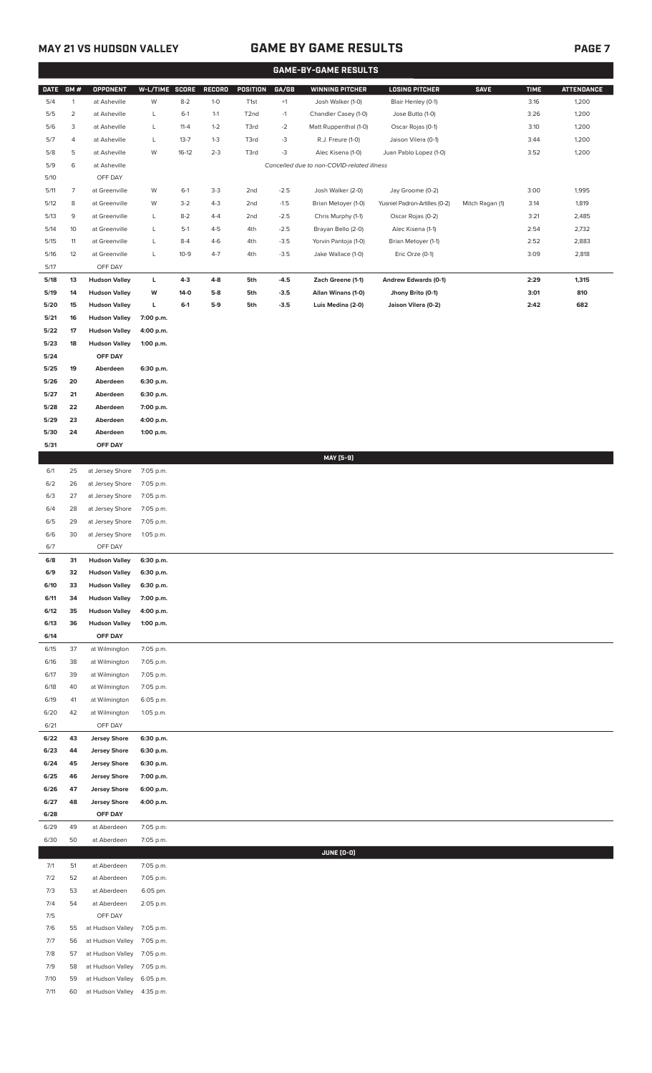## **MAY 21 VS HUDSON VALLEY GAME BY GAME RESULTS PAGE 7**

|                |                |                                            |                        |                   |                  |                   |        | <b>GAME-BY-GAME RESULTS</b>                |                               |                 |             |                   |
|----------------|----------------|--------------------------------------------|------------------------|-------------------|------------------|-------------------|--------|--------------------------------------------|-------------------------------|-----------------|-------------|-------------------|
| <b>DATE</b>    | GM#            | <b>OPPONENT</b>                            | W-L/TIME SCORE         |                   | RECORD           | POSITION          | GA/GB  | <b>WINNING PITCHER</b>                     | <b>LOSING PITCHER</b>         | <b>SAVE</b>     | <b>TIME</b> | <b>ATTENDANCE</b> |
| 5/4            | $\mathbf{1}$   | at Asheville                               | W                      | $8 - 2$           | $1-0$            | T1st              | $+1$   | Josh Walker (1-0)                          | Blair Henley (0-1)            |                 | 3:16        | 1,200             |
| $5/5$          | $\overline{2}$ | at Asheville                               | L                      | $6-1$             | $1 - 1$          | T <sub>2</sub> nd | $-1$   | Chandler Casey (1-0)                       | Jose Butto (1-0)              |                 | 3:26        | 1,200             |
| 5/6            | 3              | at Asheville                               | L                      | $11 - 4$          | $1 - 2$          | T3rd              | $-2$   | Matt Ruppenthal (1-0)                      | Oscar Rojas (0-1)             |                 | 3:10        | 1,200             |
| 5/7            | 4              | at Asheville                               | L                      | $13 - 7$          | $1 - 3$          | T3rd              | $-3$   | R.J. Freure (1-0)                          | Jaison Vilera (0-1)           |                 | 3:44        | 1,200             |
| 5/8            | 5              | at Asheville                               | W                      | $16-12$           | $2 - 3$          | T3rd              | $-3$   | Alec Kisena (1-0)                          | Juan Pablo Lopez (1-0)        |                 | 3:52        | 1,200             |
| 5/9            | 6              | at Asheville                               |                        |                   |                  |                   |        | Cancelled due to non-COVID-related illness |                               |                 |             |                   |
| 5/10           |                | OFF DAY                                    |                        |                   |                  |                   |        |                                            |                               |                 |             |                   |
| 5/11           | $\overline{7}$ | at Greenville                              | W                      | $6-1$             | $3 - 3$          | 2nd               | $-2.5$ | Josh Walker (2-0)                          | Jay Groome (0-2)              |                 | 3:00        | 1,995             |
| 5/12           | 8              | at Greenville                              | W                      | $3-2$             | $4 - 3$          | 2nd               | $-1.5$ | Brian Metoyer (1-0)                        | Yusniel Padron-Artilles (0-2) | Mitch Ragan (1) | 3:14        | 1,819             |
| 5/13           | 9              | at Greenville                              | L                      | $8 - 2$           | $4 - 4$          | 2nd               | $-2.5$ | Chris Murphy (1-1)                         | Oscar Rojas (0-2)             |                 | 3:21        | 2,485             |
| 5/14           | 10             | at Greenville                              | L                      | $5-1$             | $4 - 5$          | 4th               | $-2.5$ | Brayan Bello (2-0)                         | Alec Kisena (1-1)             |                 | 2:54        | 2,732             |
| $5/15$         | 11             | at Greenville                              | L<br>L                 | $8 - 4$<br>$10-9$ | $4-6$<br>$4 - 7$ | 4th               | $-3.5$ | Yorvin Pantoja (1-0)                       | Brian Metoyer (1-1)           |                 | 2:52        | 2,883             |
| $5/16$<br>5/17 | 12             | at Greenville<br>OFF DAY                   |                        |                   |                  | 4th               | $-3.5$ | Jake Wallace (1-0)                         | Eric Orze (0-1)               |                 | 3:09        | 2,818             |
| 5/18           | 13             | <b>Hudson Valley</b>                       | L                      | $4-3$             | 4-8              | 5th               | $-4.5$ | Zach Greene (1-1)                          | <b>Andrew Edwards (0-1)</b>   |                 | 2:29        | 1,315             |
| 5/19           | 14             | <b>Hudson Valley</b>                       | w                      | 14-0              | $5-8$            | 5th               | $-3.5$ | Allan Winans (1-0)                         | Jhony Brito (0-1)             |                 | 3:01        | 810               |
| 5/20           | 15             | <b>Hudson Valley</b>                       | L                      | $6-1$             | $5-9$            | 5th               | $-3.5$ | Luis Medina (2-0)                          | Jaison Vilera (0-2)           |                 | 2:42        | 682               |
| 5/21           | 16             | <b>Hudson Valley</b>                       | 7:00 p.m.              |                   |                  |                   |        |                                            |                               |                 |             |                   |
| 5/22           | 17             | <b>Hudson Valley</b>                       | 4:00 p.m.              |                   |                  |                   |        |                                            |                               |                 |             |                   |
| 5/23           | 18             | <b>Hudson Valley</b>                       | 1:00 p.m.              |                   |                  |                   |        |                                            |                               |                 |             |                   |
| 5/24           |                | OFF DAY                                    |                        |                   |                  |                   |        |                                            |                               |                 |             |                   |
| 5/25           | 19             | Aberdeen                                   | 6:30 p.m.              |                   |                  |                   |        |                                            |                               |                 |             |                   |
| 5/26           | 20             | Aberdeen                                   | 6:30 p.m.              |                   |                  |                   |        |                                            |                               |                 |             |                   |
| 5/27           | 21             | Aberdeen                                   | 6:30 p.m.              |                   |                  |                   |        |                                            |                               |                 |             |                   |
| 5/28           | 22             | Aberdeen                                   | 7:00 p.m.              |                   |                  |                   |        |                                            |                               |                 |             |                   |
| 5/29           | 23             | Aberdeen                                   | 4:00 p.m.              |                   |                  |                   |        |                                            |                               |                 |             |                   |
| 5/30           | 24             | Aberdeen                                   | 1:00 p.m.              |                   |                  |                   |        |                                            |                               |                 |             |                   |
| 5/31           |                | OFF DAY                                    |                        |                   |                  |                   |        |                                            |                               |                 |             |                   |
|                |                |                                            |                        |                   |                  |                   |        | MAY [5-9]                                  |                               |                 |             |                   |
| 6/1            | 25             | at Jersey Shore                            | 7:05 p.m.              |                   |                  |                   |        |                                            |                               |                 |             |                   |
| 6/2            | 26             | at Jersey Shore                            | 7:05 p.m.              |                   |                  |                   |        |                                            |                               |                 |             |                   |
| 6/3            | 27             | at Jersey Shore                            | 7:05 p.m.              |                   |                  |                   |        |                                            |                               |                 |             |                   |
| 6/4<br>6/5     | 28<br>29       | at Jersey Shore                            | 7:05 p.m.              |                   |                  |                   |        |                                            |                               |                 |             |                   |
| 6/6            | 30             | at Jersey Shore<br>at Jersey Shore         | 7:05 p.m.<br>1:05 p.m. |                   |                  |                   |        |                                            |                               |                 |             |                   |
| 6/7            |                | OFF DAY                                    |                        |                   |                  |                   |        |                                            |                               |                 |             |                   |
| 6/8            | 31             | <b>Hudson Valley</b>                       | 6:30 p.m.              |                   |                  |                   |        |                                            |                               |                 |             |                   |
| 6/9            | 32             | <b>Hudson Valley</b>                       | 6:30 p.m.              |                   |                  |                   |        |                                            |                               |                 |             |                   |
| 6/10           | 33             | <b>Hudson Valley</b>                       | 6:30 p.m.              |                   |                  |                   |        |                                            |                               |                 |             |                   |
| 6/11           | 34             | <b>Hudson Valley</b>                       | 7:00 p.m.              |                   |                  |                   |        |                                            |                               |                 |             |                   |
| 6/12           | 35             | <b>Hudson Valley</b>                       | 4:00 p.m.              |                   |                  |                   |        |                                            |                               |                 |             |                   |
| 6/13           | 36             | <b>Hudson Valley</b>                       | 1:00 p.m.              |                   |                  |                   |        |                                            |                               |                 |             |                   |
| 6/14           |                | OFF DAY                                    |                        |                   |                  |                   |        |                                            |                               |                 |             |                   |
| 6/15           | 37             | at Wilmington                              | 7:05 p.m.              |                   |                  |                   |        |                                            |                               |                 |             |                   |
| 6/16           | 38             | at Wilmington                              | 7:05 p.m.              |                   |                  |                   |        |                                            |                               |                 |             |                   |
| 6/17           | 39             | at Wilmington                              | 7:05 p.m.              |                   |                  |                   |        |                                            |                               |                 |             |                   |
| 6/18           | 40             | at Wilmington                              | 7:05 p.m.              |                   |                  |                   |        |                                            |                               |                 |             |                   |
| 6/19           | 41             | at Wilmington                              | 6:05 p.m.              |                   |                  |                   |        |                                            |                               |                 |             |                   |
| 6/20           | 42             | at Wilmington                              | 1:05 p.m.              |                   |                  |                   |        |                                            |                               |                 |             |                   |
| 6/21<br>6/22   | 43             | OFF DAY                                    |                        |                   |                  |                   |        |                                            |                               |                 |             |                   |
| 6/23           | 44             | <b>Jersey Shore</b><br><b>Jersey Shore</b> | 6:30 p.m.<br>6:30 p.m. |                   |                  |                   |        |                                            |                               |                 |             |                   |
| 6/24           | 45             | <b>Jersey Shore</b>                        | 6:30 p.m.              |                   |                  |                   |        |                                            |                               |                 |             |                   |
| 6/25           | 46             | <b>Jersey Shore</b>                        | 7:00 p.m.              |                   |                  |                   |        |                                            |                               |                 |             |                   |
| 6/26           | 47             | <b>Jersey Shore</b>                        | 6:00 p.m.              |                   |                  |                   |        |                                            |                               |                 |             |                   |
| 6/27           | 48             | <b>Jersey Shore</b>                        | 4:00 p.m.              |                   |                  |                   |        |                                            |                               |                 |             |                   |
| 6/28           |                | OFF DAY                                    |                        |                   |                  |                   |        |                                            |                               |                 |             |                   |
| 6/29           | 49             | at Aberdeen                                | 7:05 p.m.              |                   |                  |                   |        |                                            |                               |                 |             |                   |
| 6/30           | 50             | at Aberdeen                                | 7:05 p.m.              |                   |                  |                   |        |                                            |                               |                 |             |                   |
|                |                |                                            |                        |                   |                  |                   |        | JUNE (0-0)                                 |                               |                 |             |                   |
| 7/1            | 51             | at Aberdeen                                | 7:05 p.m.              |                   |                  |                   |        |                                            |                               |                 |             |                   |
| 7/2            | 52             | at Aberdeen                                | 7:05 p.m.              |                   |                  |                   |        |                                            |                               |                 |             |                   |
| 7/3            | 53<br>54       | at Aberdeen<br>at Aberdeen                 | 6:05 pm.               |                   |                  |                   |        |                                            |                               |                 |             |                   |
| 7/4<br>7/5     |                | OFF DAY                                    | 2:05 p.m.              |                   |                  |                   |        |                                            |                               |                 |             |                   |
| 7/6            | 55             | at Hudson Valley                           | 7:05 p.m.              |                   |                  |                   |        |                                            |                               |                 |             |                   |
| 7/7            | 56             | at Hudson Valley                           | 7:05 p.m.              |                   |                  |                   |        |                                            |                               |                 |             |                   |
| 7/8            | 57             | at Hudson Valley                           | 7:05 p.m.              |                   |                  |                   |        |                                            |                               |                 |             |                   |
| 7/9            | 58             | at Hudson Valley                           | 7:05 p.m.              |                   |                  |                   |        |                                            |                               |                 |             |                   |
| 7/10           | 59             | at Hudson Valley                           | 6:05 p.m.              |                   |                  |                   |        |                                            |                               |                 |             |                   |
|                |                |                                            |                        |                   |                  |                   |        |                                            |                               |                 |             |                   |

7/11 60 at Hudson Valley 4:35 p.m.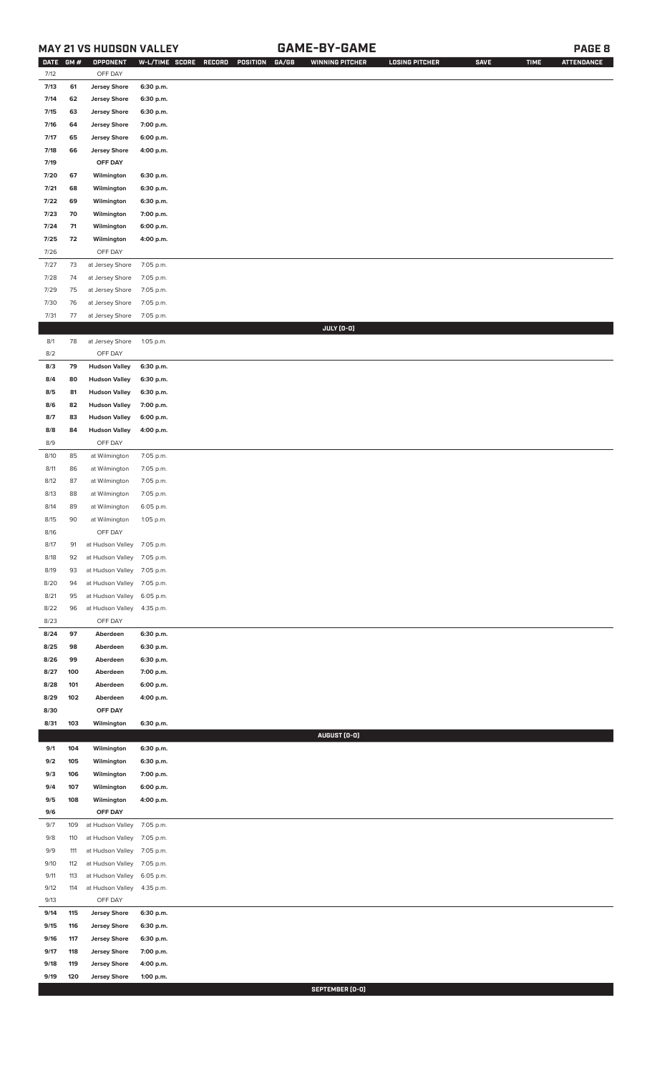## **MAY 21 VS HUDSON VALLEY GAME-BY-GAME PAGE 8**

| <b>DATE</b><br>GM#         | OPPONENT                                                                                                                                                                                                                                                                                                           |                                                                                                                                                                                                                                                                                                                                                                                                                                                                    | W-L/TIME SCORE RECORD                                                                                                                                                                                                                                                                                       | GA/GB<br>POSITION | <b>WINNING PITCHER</b> | <b>LOSING PITCHER</b> | <b>SAVE</b> | <b>TIME</b> | <b>ATTENDANCE</b> |
|----------------------------|--------------------------------------------------------------------------------------------------------------------------------------------------------------------------------------------------------------------------------------------------------------------------------------------------------------------|--------------------------------------------------------------------------------------------------------------------------------------------------------------------------------------------------------------------------------------------------------------------------------------------------------------------------------------------------------------------------------------------------------------------------------------------------------------------|-------------------------------------------------------------------------------------------------------------------------------------------------------------------------------------------------------------------------------------------------------------------------------------------------------------|-------------------|------------------------|-----------------------|-------------|-------------|-------------------|
| 7/12                       | OFF DAY                                                                                                                                                                                                                                                                                                            |                                                                                                                                                                                                                                                                                                                                                                                                                                                                    |                                                                                                                                                                                                                                                                                                             |                   |                        |                       |             |             |                   |
| 7/13<br>61                 | <b>Jersey Shore</b>                                                                                                                                                                                                                                                                                                | 6:30 p.m.                                                                                                                                                                                                                                                                                                                                                                                                                                                          |                                                                                                                                                                                                                                                                                                             |                   |                        |                       |             |             |                   |
|                            |                                                                                                                                                                                                                                                                                                                    |                                                                                                                                                                                                                                                                                                                                                                                                                                                                    |                                                                                                                                                                                                                                                                                                             |                   |                        |                       |             |             |                   |
|                            |                                                                                                                                                                                                                                                                                                                    |                                                                                                                                                                                                                                                                                                                                                                                                                                                                    |                                                                                                                                                                                                                                                                                                             |                   |                        |                       |             |             |                   |
|                            |                                                                                                                                                                                                                                                                                                                    |                                                                                                                                                                                                                                                                                                                                                                                                                                                                    |                                                                                                                                                                                                                                                                                                             |                   |                        |                       |             |             |                   |
|                            |                                                                                                                                                                                                                                                                                                                    |                                                                                                                                                                                                                                                                                                                                                                                                                                                                    |                                                                                                                                                                                                                                                                                                             |                   |                        |                       |             |             |                   |
|                            |                                                                                                                                                                                                                                                                                                                    |                                                                                                                                                                                                                                                                                                                                                                                                                                                                    |                                                                                                                                                                                                                                                                                                             |                   |                        |                       |             |             |                   |
|                            |                                                                                                                                                                                                                                                                                                                    |                                                                                                                                                                                                                                                                                                                                                                                                                                                                    |                                                                                                                                                                                                                                                                                                             |                   |                        |                       |             |             |                   |
|                            |                                                                                                                                                                                                                                                                                                                    |                                                                                                                                                                                                                                                                                                                                                                                                                                                                    |                                                                                                                                                                                                                                                                                                             |                   |                        |                       |             |             |                   |
|                            |                                                                                                                                                                                                                                                                                                                    |                                                                                                                                                                                                                                                                                                                                                                                                                                                                    |                                                                                                                                                                                                                                                                                                             |                   |                        |                       |             |             |                   |
|                            |                                                                                                                                                                                                                                                                                                                    |                                                                                                                                                                                                                                                                                                                                                                                                                                                                    |                                                                                                                                                                                                                                                                                                             |                   |                        |                       |             |             |                   |
|                            |                                                                                                                                                                                                                                                                                                                    |                                                                                                                                                                                                                                                                                                                                                                                                                                                                    |                                                                                                                                                                                                                                                                                                             |                   |                        |                       |             |             |                   |
|                            |                                                                                                                                                                                                                                                                                                                    |                                                                                                                                                                                                                                                                                                                                                                                                                                                                    |                                                                                                                                                                                                                                                                                                             |                   |                        |                       |             |             |                   |
|                            |                                                                                                                                                                                                                                                                                                                    |                                                                                                                                                                                                                                                                                                                                                                                                                                                                    |                                                                                                                                                                                                                                                                                                             |                   |                        |                       |             |             |                   |
|                            |                                                                                                                                                                                                                                                                                                                    |                                                                                                                                                                                                                                                                                                                                                                                                                                                                    |                                                                                                                                                                                                                                                                                                             |                   |                        |                       |             |             |                   |
| 7/28<br>74                 |                                                                                                                                                                                                                                                                                                                    |                                                                                                                                                                                                                                                                                                                                                                                                                                                                    |                                                                                                                                                                                                                                                                                                             |                   |                        |                       |             |             |                   |
| 7/29<br>75                 |                                                                                                                                                                                                                                                                                                                    |                                                                                                                                                                                                                                                                                                                                                                                                                                                                    |                                                                                                                                                                                                                                                                                                             |                   |                        |                       |             |             |                   |
| 7/30<br>76                 | at Jersey Shore                                                                                                                                                                                                                                                                                                    | 7:05 p.m.                                                                                                                                                                                                                                                                                                                                                                                                                                                          |                                                                                                                                                                                                                                                                                                             |                   |                        |                       |             |             |                   |
| 7/31<br>77                 | at Jersey Shore                                                                                                                                                                                                                                                                                                    | 7:05 p.m.                                                                                                                                                                                                                                                                                                                                                                                                                                                          |                                                                                                                                                                                                                                                                                                             |                   |                        |                       |             |             |                   |
|                            |                                                                                                                                                                                                                                                                                                                    |                                                                                                                                                                                                                                                                                                                                                                                                                                                                    |                                                                                                                                                                                                                                                                                                             |                   | JULY (0-0)             |                       |             |             |                   |
| 8/1<br>78                  | at Jersey Shore                                                                                                                                                                                                                                                                                                    | 1:05 p.m.                                                                                                                                                                                                                                                                                                                                                                                                                                                          |                                                                                                                                                                                                                                                                                                             |                   |                        |                       |             |             |                   |
| 8/2                        | OFF DAY                                                                                                                                                                                                                                                                                                            |                                                                                                                                                                                                                                                                                                                                                                                                                                                                    |                                                                                                                                                                                                                                                                                                             |                   |                        |                       |             |             |                   |
| 8/3<br>79                  | <b>Hudson Valley</b>                                                                                                                                                                                                                                                                                               | 6:30 p.m.                                                                                                                                                                                                                                                                                                                                                                                                                                                          |                                                                                                                                                                                                                                                                                                             |                   |                        |                       |             |             |                   |
| 8/4<br>80                  | <b>Hudson Valley</b>                                                                                                                                                                                                                                                                                               | 6:30 p.m.                                                                                                                                                                                                                                                                                                                                                                                                                                                          |                                                                                                                                                                                                                                                                                                             |                   |                        |                       |             |             |                   |
| 8/5<br>81                  | <b>Hudson Valley</b>                                                                                                                                                                                                                                                                                               | 6:30 p.m.                                                                                                                                                                                                                                                                                                                                                                                                                                                          |                                                                                                                                                                                                                                                                                                             |                   |                        |                       |             |             |                   |
| 82<br>8/6                  | <b>Hudson Valley</b>                                                                                                                                                                                                                                                                                               | 7:00 p.m.                                                                                                                                                                                                                                                                                                                                                                                                                                                          |                                                                                                                                                                                                                                                                                                             |                   |                        |                       |             |             |                   |
| 8/7<br>83                  | <b>Hudson Valley</b>                                                                                                                                                                                                                                                                                               | 6:00 p.m.                                                                                                                                                                                                                                                                                                                                                                                                                                                          |                                                                                                                                                                                                                                                                                                             |                   |                        |                       |             |             |                   |
| 8/8<br>84                  | <b>Hudson Valley</b>                                                                                                                                                                                                                                                                                               | 4:00 p.m.                                                                                                                                                                                                                                                                                                                                                                                                                                                          |                                                                                                                                                                                                                                                                                                             |                   |                        |                       |             |             |                   |
| 8/9                        | OFF DAY                                                                                                                                                                                                                                                                                                            |                                                                                                                                                                                                                                                                                                                                                                                                                                                                    |                                                                                                                                                                                                                                                                                                             |                   |                        |                       |             |             |                   |
| 8/10                       | at Wilmington                                                                                                                                                                                                                                                                                                      | 7:05 p.m.                                                                                                                                                                                                                                                                                                                                                                                                                                                          |                                                                                                                                                                                                                                                                                                             |                   |                        |                       |             |             |                   |
|                            |                                                                                                                                                                                                                                                                                                                    |                                                                                                                                                                                                                                                                                                                                                                                                                                                                    |                                                                                                                                                                                                                                                                                                             |                   |                        |                       |             |             |                   |
|                            |                                                                                                                                                                                                                                                                                                                    |                                                                                                                                                                                                                                                                                                                                                                                                                                                                    |                                                                                                                                                                                                                                                                                                             |                   |                        |                       |             |             |                   |
|                            |                                                                                                                                                                                                                                                                                                                    |                                                                                                                                                                                                                                                                                                                                                                                                                                                                    |                                                                                                                                                                                                                                                                                                             |                   |                        |                       |             |             |                   |
|                            |                                                                                                                                                                                                                                                                                                                    |                                                                                                                                                                                                                                                                                                                                                                                                                                                                    |                                                                                                                                                                                                                                                                                                             |                   |                        |                       |             |             |                   |
|                            |                                                                                                                                                                                                                                                                                                                    |                                                                                                                                                                                                                                                                                                                                                                                                                                                                    |                                                                                                                                                                                                                                                                                                             |                   |                        |                       |             |             |                   |
|                            |                                                                                                                                                                                                                                                                                                                    |                                                                                                                                                                                                                                                                                                                                                                                                                                                                    |                                                                                                                                                                                                                                                                                                             |                   |                        |                       |             |             |                   |
|                            |                                                                                                                                                                                                                                                                                                                    |                                                                                                                                                                                                                                                                                                                                                                                                                                                                    |                                                                                                                                                                                                                                                                                                             |                   |                        |                       |             |             |                   |
|                            |                                                                                                                                                                                                                                                                                                                    |                                                                                                                                                                                                                                                                                                                                                                                                                                                                    |                                                                                                                                                                                                                                                                                                             |                   |                        |                       |             |             |                   |
| 8/20<br>94                 |                                                                                                                                                                                                                                                                                                                    | 7:05 p.m.                                                                                                                                                                                                                                                                                                                                                                                                                                                          |                                                                                                                                                                                                                                                                                                             |                   |                        |                       |             |             |                   |
| 8/21<br>95                 |                                                                                                                                                                                                                                                                                                                    | 6:05 p.m.                                                                                                                                                                                                                                                                                                                                                                                                                                                          |                                                                                                                                                                                                                                                                                                             |                   |                        |                       |             |             |                   |
| 8/22<br>96                 |                                                                                                                                                                                                                                                                                                                    |                                                                                                                                                                                                                                                                                                                                                                                                                                                                    |                                                                                                                                                                                                                                                                                                             |                   |                        |                       |             |             |                   |
|                            |                                                                                                                                                                                                                                                                                                                    | 4:35 p.m.                                                                                                                                                                                                                                                                                                                                                                                                                                                          |                                                                                                                                                                                                                                                                                                             |                   |                        |                       |             |             |                   |
| 8/23                       | OFF DAY                                                                                                                                                                                                                                                                                                            |                                                                                                                                                                                                                                                                                                                                                                                                                                                                    |                                                                                                                                                                                                                                                                                                             |                   |                        |                       |             |             |                   |
| 97<br>8/24                 | Aberdeen                                                                                                                                                                                                                                                                                                           | 6:30 p.m.                                                                                                                                                                                                                                                                                                                                                                                                                                                          |                                                                                                                                                                                                                                                                                                             |                   |                        |                       |             |             |                   |
| 8/25<br>98                 | Aberdeen                                                                                                                                                                                                                                                                                                           | 6:30 p.m.                                                                                                                                                                                                                                                                                                                                                                                                                                                          |                                                                                                                                                                                                                                                                                                             |                   |                        |                       |             |             |                   |
| 8/26<br>99                 | Aberdeen                                                                                                                                                                                                                                                                                                           | 6:30 p.m.                                                                                                                                                                                                                                                                                                                                                                                                                                                          |                                                                                                                                                                                                                                                                                                             |                   |                        |                       |             |             |                   |
| 8/27<br>100                | Aberdeen                                                                                                                                                                                                                                                                                                           | 7:00 p.m.                                                                                                                                                                                                                                                                                                                                                                                                                                                          |                                                                                                                                                                                                                                                                                                             |                   |                        |                       |             |             |                   |
| 101<br>8/28                | Aberdeen                                                                                                                                                                                                                                                                                                           | 6:00 p.m.                                                                                                                                                                                                                                                                                                                                                                                                                                                          |                                                                                                                                                                                                                                                                                                             |                   |                        |                       |             |             |                   |
| 102<br>8/29                | Aberdeen                                                                                                                                                                                                                                                                                                           | 4:00 p.m.                                                                                                                                                                                                                                                                                                                                                                                                                                                          |                                                                                                                                                                                                                                                                                                             |                   |                        |                       |             |             |                   |
| 8/30                       | OFF DAY                                                                                                                                                                                                                                                                                                            |                                                                                                                                                                                                                                                                                                                                                                                                                                                                    |                                                                                                                                                                                                                                                                                                             |                   |                        |                       |             |             |                   |
| 103<br>8/31                | Wilmington                                                                                                                                                                                                                                                                                                         | 6:30 p.m.                                                                                                                                                                                                                                                                                                                                                                                                                                                          |                                                                                                                                                                                                                                                                                                             |                   |                        |                       |             |             |                   |
|                            |                                                                                                                                                                                                                                                                                                                    |                                                                                                                                                                                                                                                                                                                                                                                                                                                                    |                                                                                                                                                                                                                                                                                                             |                   | AUGUST (0-0)           |                       |             |             |                   |
| 9/1<br>104                 | Wilmington                                                                                                                                                                                                                                                                                                         | 6:30 p.m.                                                                                                                                                                                                                                                                                                                                                                                                                                                          |                                                                                                                                                                                                                                                                                                             |                   |                        |                       |             |             |                   |
| 9/2<br>105                 | Wilmington                                                                                                                                                                                                                                                                                                         | 6:30 p.m.                                                                                                                                                                                                                                                                                                                                                                                                                                                          |                                                                                                                                                                                                                                                                                                             |                   |                        |                       |             |             |                   |
| 9/3<br>106                 | Wilmington                                                                                                                                                                                                                                                                                                         | 7:00 p.m.                                                                                                                                                                                                                                                                                                                                                                                                                                                          |                                                                                                                                                                                                                                                                                                             |                   |                        |                       |             |             |                   |
| 9/4<br>107<br>9/5<br>108   | Wilmington<br>Wilmington                                                                                                                                                                                                                                                                                           | 6:00 p.m.<br>4:00 p.m.                                                                                                                                                                                                                                                                                                                                                                                                                                             |                                                                                                                                                                                                                                                                                                             |                   |                        |                       |             |             |                   |
| 9/6                        | OFF DAY                                                                                                                                                                                                                                                                                                            |                                                                                                                                                                                                                                                                                                                                                                                                                                                                    |                                                                                                                                                                                                                                                                                                             |                   |                        |                       |             |             |                   |
| 109<br>9/7                 | at Hudson Valley                                                                                                                                                                                                                                                                                                   | 7:05 p.m.                                                                                                                                                                                                                                                                                                                                                                                                                                                          |                                                                                                                                                                                                                                                                                                             |                   |                        |                       |             |             |                   |
| 9/8<br>110                 | at Hudson Valley                                                                                                                                                                                                                                                                                                   | 7:05 p.m.                                                                                                                                                                                                                                                                                                                                                                                                                                                          |                                                                                                                                                                                                                                                                                                             |                   |                        |                       |             |             |                   |
| 9/9<br>111                 | at Hudson Valley                                                                                                                                                                                                                                                                                                   | 7:05 p.m.                                                                                                                                                                                                                                                                                                                                                                                                                                                          |                                                                                                                                                                                                                                                                                                             |                   |                        |                       |             |             |                   |
| 9/10<br>112                | at Hudson Valley                                                                                                                                                                                                                                                                                                   | 7:05 p.m.                                                                                                                                                                                                                                                                                                                                                                                                                                                          |                                                                                                                                                                                                                                                                                                             |                   |                        |                       |             |             |                   |
| 9/11<br>113                | at Hudson Valley                                                                                                                                                                                                                                                                                                   | 6:05 p.m.                                                                                                                                                                                                                                                                                                                                                                                                                                                          |                                                                                                                                                                                                                                                                                                             |                   |                        |                       |             |             |                   |
| 9/12<br>114                | at Hudson Valley                                                                                                                                                                                                                                                                                                   | 4:35 p.m.                                                                                                                                                                                                                                                                                                                                                                                                                                                          |                                                                                                                                                                                                                                                                                                             |                   |                        |                       |             |             |                   |
| 9/13                       | OFF DAY                                                                                                                                                                                                                                                                                                            |                                                                                                                                                                                                                                                                                                                                                                                                                                                                    |                                                                                                                                                                                                                                                                                                             |                   |                        |                       |             |             |                   |
| 9/14<br>115                | <b>Jersey Shore</b>                                                                                                                                                                                                                                                                                                | 6:30 p.m.                                                                                                                                                                                                                                                                                                                                                                                                                                                          |                                                                                                                                                                                                                                                                                                             |                   |                        |                       |             |             |                   |
| 9/15<br>116                | <b>Jersey Shore</b>                                                                                                                                                                                                                                                                                                | 6:30 p.m.                                                                                                                                                                                                                                                                                                                                                                                                                                                          |                                                                                                                                                                                                                                                                                                             |                   |                        |                       |             |             |                   |
| 9/16<br>117                | <b>Jersey Shore</b>                                                                                                                                                                                                                                                                                                | 6:30 p.m.                                                                                                                                                                                                                                                                                                                                                                                                                                                          |                                                                                                                                                                                                                                                                                                             |                   |                        |                       |             |             |                   |
| 9/17<br>118<br>9/18<br>119 | <b>Jersey Shore</b><br><b>Jersey Shore</b>                                                                                                                                                                                                                                                                         | 7:00 p.m.<br>4:00 p.m.                                                                                                                                                                                                                                                                                                                                                                                                                                             |                                                                                                                                                                                                                                                                                                             |                   |                        |                       |             |             |                   |
|                            | 7/14<br>62<br>7/15<br>63<br>7/16<br>64<br>7/17<br>65<br>7/18<br>66<br>7/19<br>67<br>7/20<br>7/21<br>68<br>7/22<br>69<br>7/23<br>70<br>71<br>7/24<br>7/25<br>72<br>7/26<br>73<br>7/27<br>85<br>8/11<br>86<br>8/12<br>87<br>88<br>8/13<br>8/14<br>89<br>8/15<br>90<br>8/16<br>8/17<br>91<br>8/18<br>92<br>8/19<br>93 | <b>Jersey Shore</b><br><b>Jersey Shore</b><br><b>Jersey Shore</b><br><b>Jersey Shore</b><br><b>Jersey Shore</b><br>OFF DAY<br>Wilmington<br>Wilmington<br>Wilmington<br>Wilmington<br>Wilmington<br>Wilmington<br>OFF DAY<br>at Jersey Shore<br>at Jersey Shore<br>at Jersey Shore<br>at Wilmington<br>at Wilmington<br>at Wilmington<br>at Wilmington<br>at Wilmington<br>OFF DAY<br>at Hudson Valley<br>at Hudson Valley<br>at Hudson Valley<br>at Hudson Valley | 6:30 p.m.<br>6:30 p.m.<br>7:00 p.m.<br>6:00 p.m.<br>4:00 p.m.<br>6:30 p.m.<br>6:30 p.m.<br>6:30 p.m.<br>7:00 p.m.<br>6:00 p.m.<br>4:00 p.m.<br>7:05 p.m.<br>7:05 p.m.<br>7:05 p.m.<br>7:05 p.m.<br>7:05 p.m.<br>7:05 p.m.<br>6:05 p.m.<br>1:05 p.m.<br>at Hudson Valley 7:05 p.m.<br>7:05 p.m.<br>7:05 p.m. |                   |                        | at Hudson Valley      |             |             |                   |

**SEPTEMBER (0-0)**